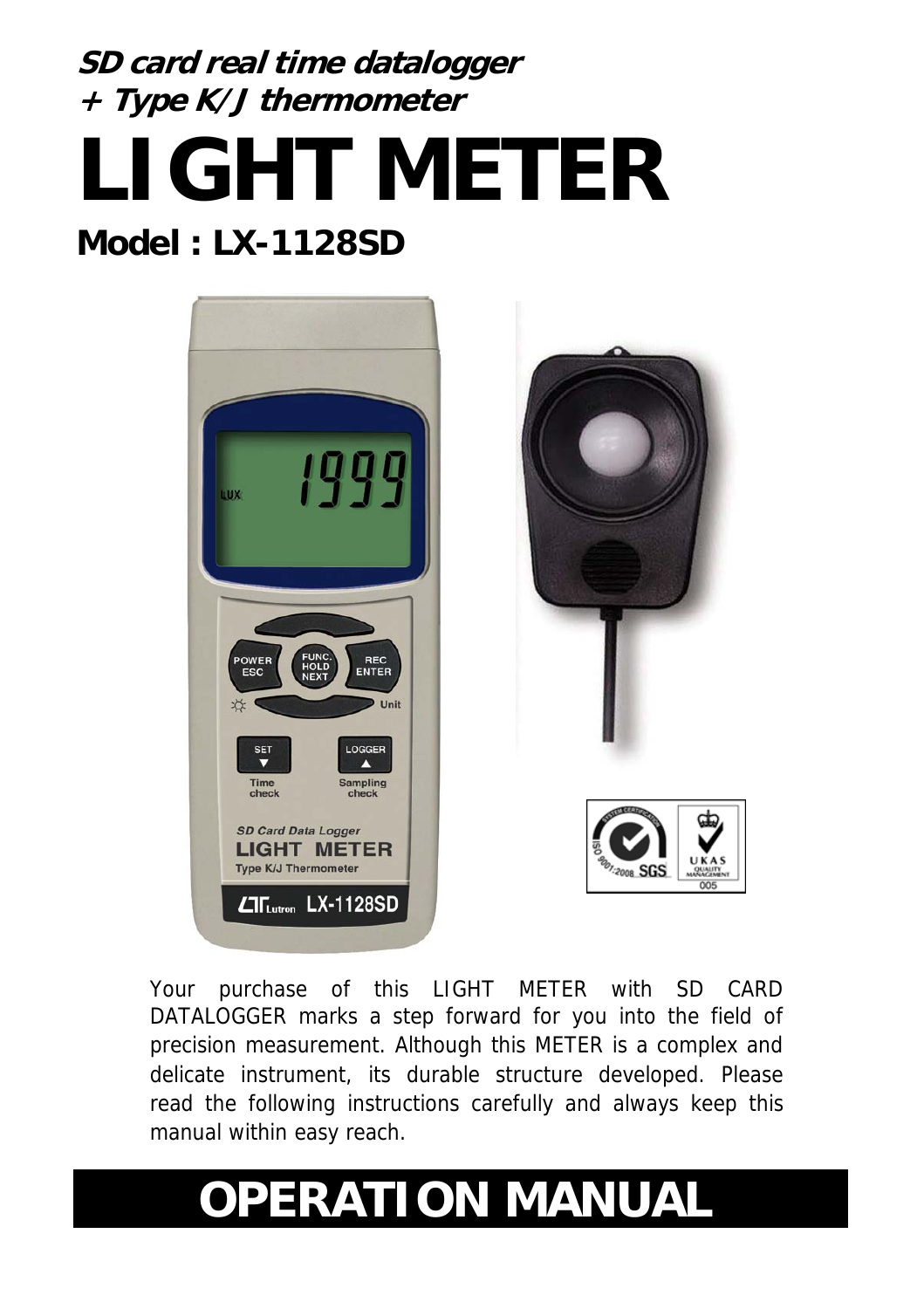# **SD card real time datalogger + Type K/J thermometer LIGHT METER Model : LX-1128SD**



Your purchase of this LIGHT METER with SD CARD DATALOGGER marks a step forward for you into the field of precision measurement. Although this METER is a complex and delicate instrument, its durable structure developed. Please read the following instructions carefully and always keep this manual within easy reach.

# **OPERATION MANUAL**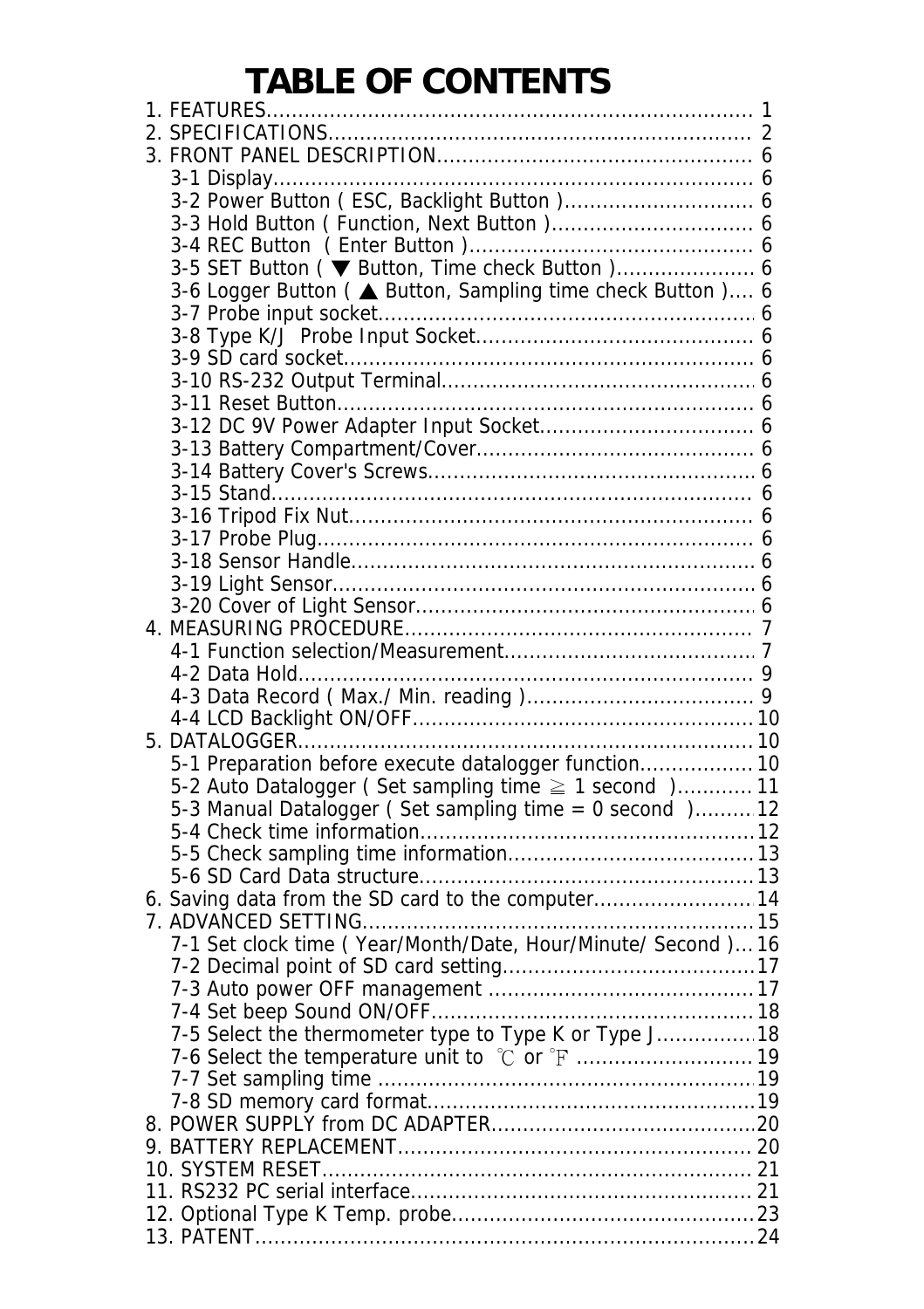### **TABLE OF CONTENTS**

| 3-5 SET Button ( ▼ Button, Time check Button ) 6                                                          |  |
|-----------------------------------------------------------------------------------------------------------|--|
| 3-6 Logger Button ( ▲ Button, Sampling time check Button ) 6                                              |  |
|                                                                                                           |  |
|                                                                                                           |  |
|                                                                                                           |  |
|                                                                                                           |  |
|                                                                                                           |  |
|                                                                                                           |  |
|                                                                                                           |  |
|                                                                                                           |  |
|                                                                                                           |  |
|                                                                                                           |  |
|                                                                                                           |  |
|                                                                                                           |  |
|                                                                                                           |  |
|                                                                                                           |  |
|                                                                                                           |  |
|                                                                                                           |  |
|                                                                                                           |  |
|                                                                                                           |  |
|                                                                                                           |  |
|                                                                                                           |  |
| 5-1 Preparation before execute datalogger function 10                                                     |  |
| 5-2 Auto Datalogger (Set sampling time ≥ 1 second)11                                                      |  |
| 5-3 Manual Datalogger (Set sampling time = 0 second ) 12                                                  |  |
|                                                                                                           |  |
|                                                                                                           |  |
|                                                                                                           |  |
| 6. Saving data from the SD card to the computer 14                                                        |  |
|                                                                                                           |  |
| 7-1 Set clock time (Year/Month/Date, Hour/Minute/ Second) 16                                              |  |
|                                                                                                           |  |
|                                                                                                           |  |
|                                                                                                           |  |
|                                                                                                           |  |
| 7-5 Select the thermometer type to Type K or Type J 18<br>7-6 Select the temperature unit to °C or °F  19 |  |
|                                                                                                           |  |
|                                                                                                           |  |
|                                                                                                           |  |
|                                                                                                           |  |
|                                                                                                           |  |
|                                                                                                           |  |
|                                                                                                           |  |
|                                                                                                           |  |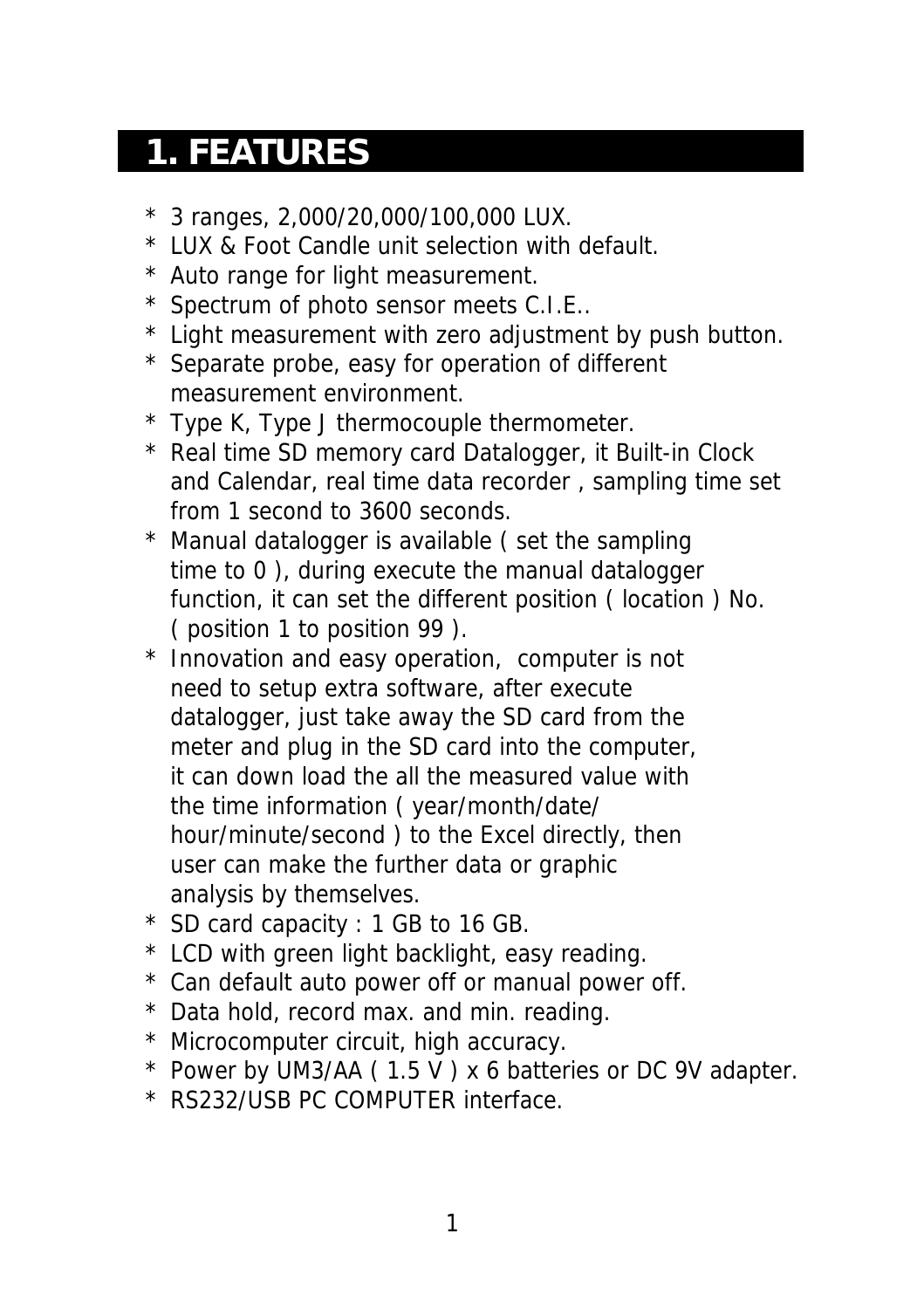### **1. FEATURES**

- \* 3 ranges, 2,000/20,000/100,000 LUX.
- \* LUX & Foot Candle unit selection with default.
- \* Auto range for light measurement.
- \* Spectrum of photo sensor meets C.I.E..
- \* Light measurement with zero adjustment by push button.
- \* Separate probe, easy for operation of different measurement environment.
- \* Type K, Type J thermocouple thermometer.
- \* Real time SD memory card Datalogger, it Built-in Clock and Calendar, real time data recorder , sampling time set from 1 second to 3600 seconds.
- \* Manual datalogger is available ( set the sampling time to 0 ), during execute the manual datalogger function, it can set the different position ( location ) No. ( position 1 to position 99 ).
- \* Innovation and easy operation, computer is not need to setup extra software, after execute datalogger, just take away the SD card from the meter and plug in the SD card into the computer, it can down load the all the measured value with the time information ( year/month/date/ hour/minute/second ) to the Excel directly, then user can make the further data or graphic analysis by themselves.
- \* SD card capacity : 1 GB to 16 GB.
- \* LCD with green light backlight, easy reading.
- \* Can default auto power off or manual power off.
- \* Data hold, record max. and min. reading.
- \* Microcomputer circuit, high accuracy.
- \* Power by UM3/AA ( 1.5 V ) x 6 batteries or DC 9V adapter.
- \* RS232/USB PC COMPUTER interface.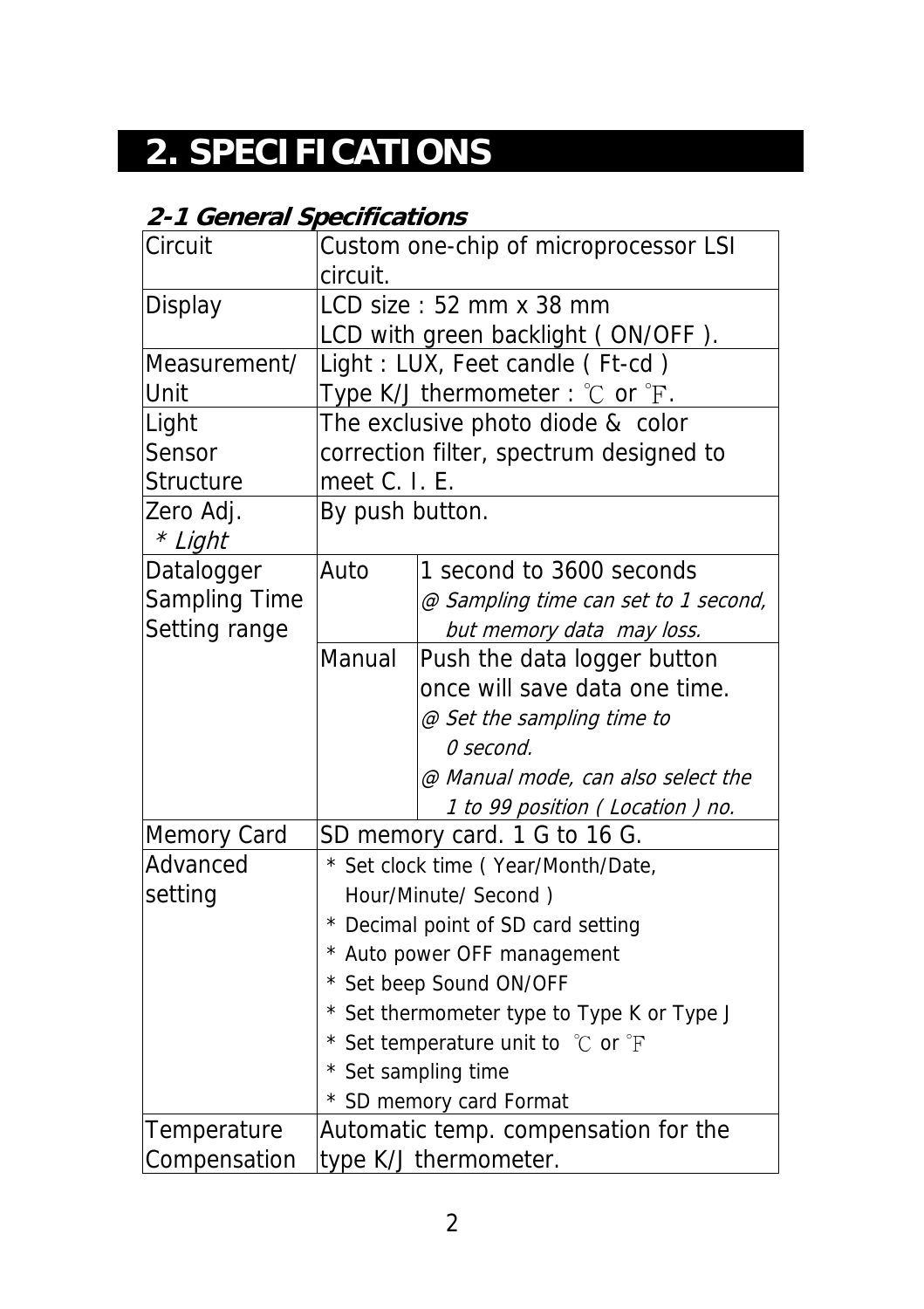## **2. SPECIFICATIONS**

### **2-1 General Specifications**

| Circuit              | Custom one-chip of microprocessor LSI      |                                                      |  |  |  |  |  |
|----------------------|--------------------------------------------|------------------------------------------------------|--|--|--|--|--|
|                      | circuit.                                   |                                                      |  |  |  |  |  |
| Display              |                                            | LCD size: 52 mm x 38 mm                              |  |  |  |  |  |
|                      |                                            | LCD with green backlight (ON/OFF).                   |  |  |  |  |  |
| Measurement/         |                                            | Light : LUX, Feet candle (Ft-cd)                     |  |  |  |  |  |
| Unit                 |                                            | Type K/J thermometer : $°C$ or $\mathrm{F}$ .        |  |  |  |  |  |
| Light                |                                            | The exclusive photo diode & color                    |  |  |  |  |  |
| Sensor               |                                            | correction filter, spectrum designed to              |  |  |  |  |  |
| Structure            | meet C. I. E.                              |                                                      |  |  |  |  |  |
| Zero Adj.<br>* Light | By push button.                            |                                                      |  |  |  |  |  |
| Datalogger           | Auto                                       | 1 second to 3600 seconds                             |  |  |  |  |  |
| Sampling Time        |                                            | @ Sampling time can set to 1 second,                 |  |  |  |  |  |
| Setting range        |                                            | but memory data may loss.                            |  |  |  |  |  |
|                      | Manual<br>Push the data logger button      |                                                      |  |  |  |  |  |
|                      | once will save data one time.              |                                                      |  |  |  |  |  |
|                      |                                            | @ Set the sampling time to                           |  |  |  |  |  |
|                      |                                            | 0 second.                                            |  |  |  |  |  |
|                      |                                            | @ Manual mode, can also select the                   |  |  |  |  |  |
|                      |                                            | 1 to 99 position (Location) no.                      |  |  |  |  |  |
| <b>Memory Card</b>   | SD memory card. 1 G to 16 G.               |                                                      |  |  |  |  |  |
| Advanced             | * Set clock time (Year/Month/Date,         |                                                      |  |  |  |  |  |
| setting              | Hour/Minute/ Second)                       |                                                      |  |  |  |  |  |
|                      | * Decimal point of SD card setting         |                                                      |  |  |  |  |  |
|                      | * Auto power OFF management                |                                                      |  |  |  |  |  |
|                      | * Set beep Sound ON/OFF                    |                                                      |  |  |  |  |  |
|                      | * Set thermometer type to Type K or Type J |                                                      |  |  |  |  |  |
|                      |                                            | * Set temperature unit to $\degree$ C or $\degree$ F |  |  |  |  |  |
|                      |                                            | * Set sampling time                                  |  |  |  |  |  |
|                      |                                            | * SD memory card Format                              |  |  |  |  |  |
| Temperature          |                                            | Automatic temp. compensation for the                 |  |  |  |  |  |
| Compensation         | type K/J thermometer.                      |                                                      |  |  |  |  |  |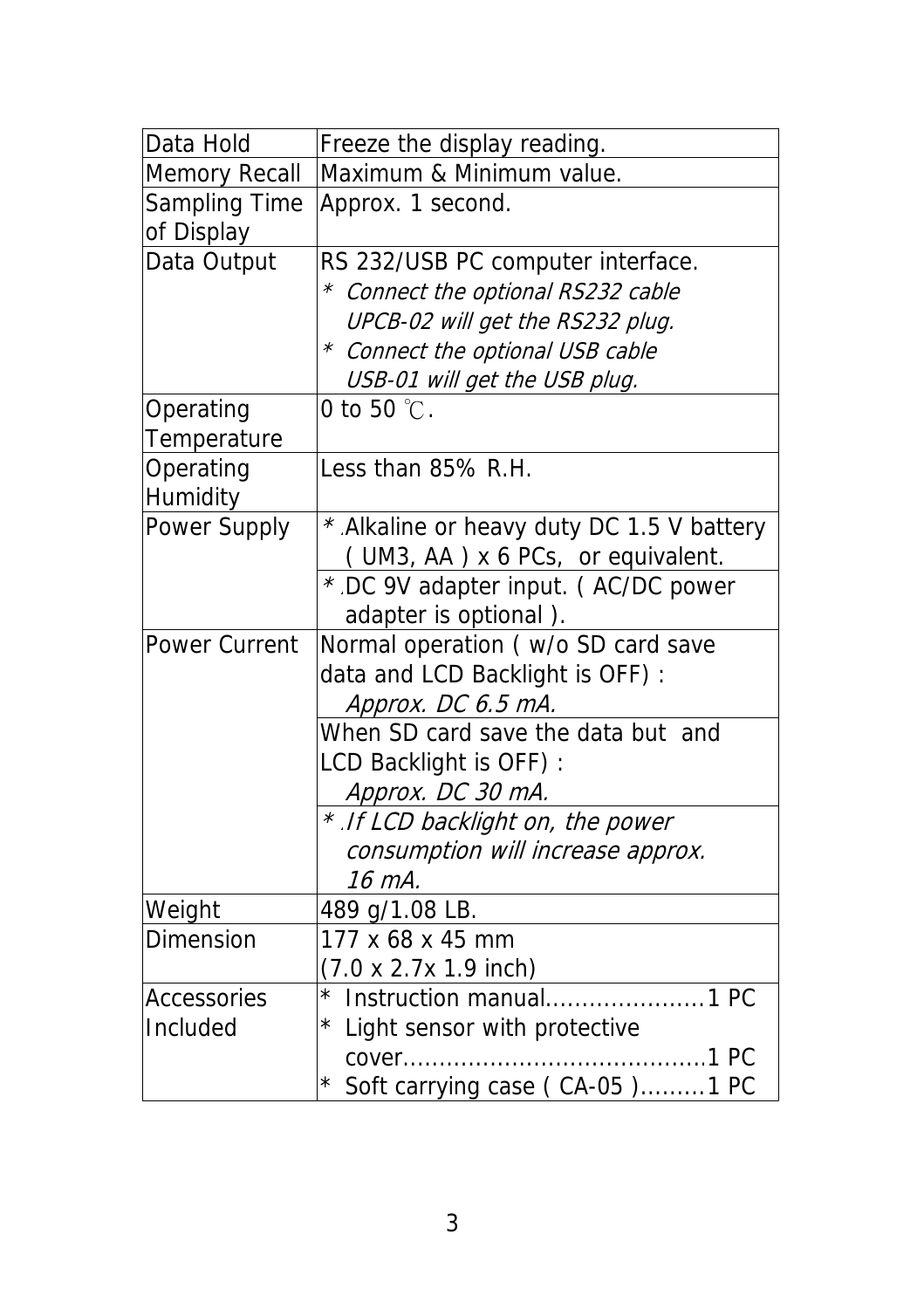| Data Hold            | Freeze the display reading.                |
|----------------------|--------------------------------------------|
| <b>Memory Recall</b> | Maximum & Minimum value.                   |
| Sampling Time        | Approx. 1 second.                          |
| of Display           |                                            |
| Data Output          | RS 232/USB PC computer interface.          |
|                      | * Connect the optional RS232 cable         |
|                      | UPCB-02 will get the RS232 plug.           |
|                      | * Connect the optional USB cable           |
|                      | USB-01 will get the USB plug.              |
| Operating            | 0 to 50 $°C$ .                             |
| Temperature          |                                            |
| Operating            | Less than 85% R.H.                         |
| Humidity             |                                            |
| Power Supply         | * Alkaline or heavy duty DC 1.5 V battery  |
|                      | (UM3, AA) x 6 PCs, or equivalent.          |
|                      | * DC 9V adapter input. (AC/DC power        |
|                      | adapter is optional).                      |
| Power Current        | Normal operation ( w/o SD card save        |
|                      | data and LCD Backlight is OFF) :           |
|                      | Approx. DC 6.5 mA.                         |
|                      | When SD card save the data but and         |
|                      | LCD Backlight is OFF):                     |
|                      | Approx. DC 30 mA.                          |
|                      | * If LCD backlight on, the power           |
|                      | consumption will increase approx.          |
|                      | 16 mA.                                     |
| Weight               | 489 g/1.08 LB.                             |
| Dimension            | 177 x 68 x 45 mm                           |
|                      | $(7.0 \times 2.7 \times 1.9 \text{ inch})$ |
| <b>Accessories</b>   | $^{\star}$<br>Instruction manual<br>1 PC   |
| Included             | * Light sensor with protective             |
|                      | 1 PC<br>cover                              |
|                      | * Soft carrying case (CA-05)1 PC           |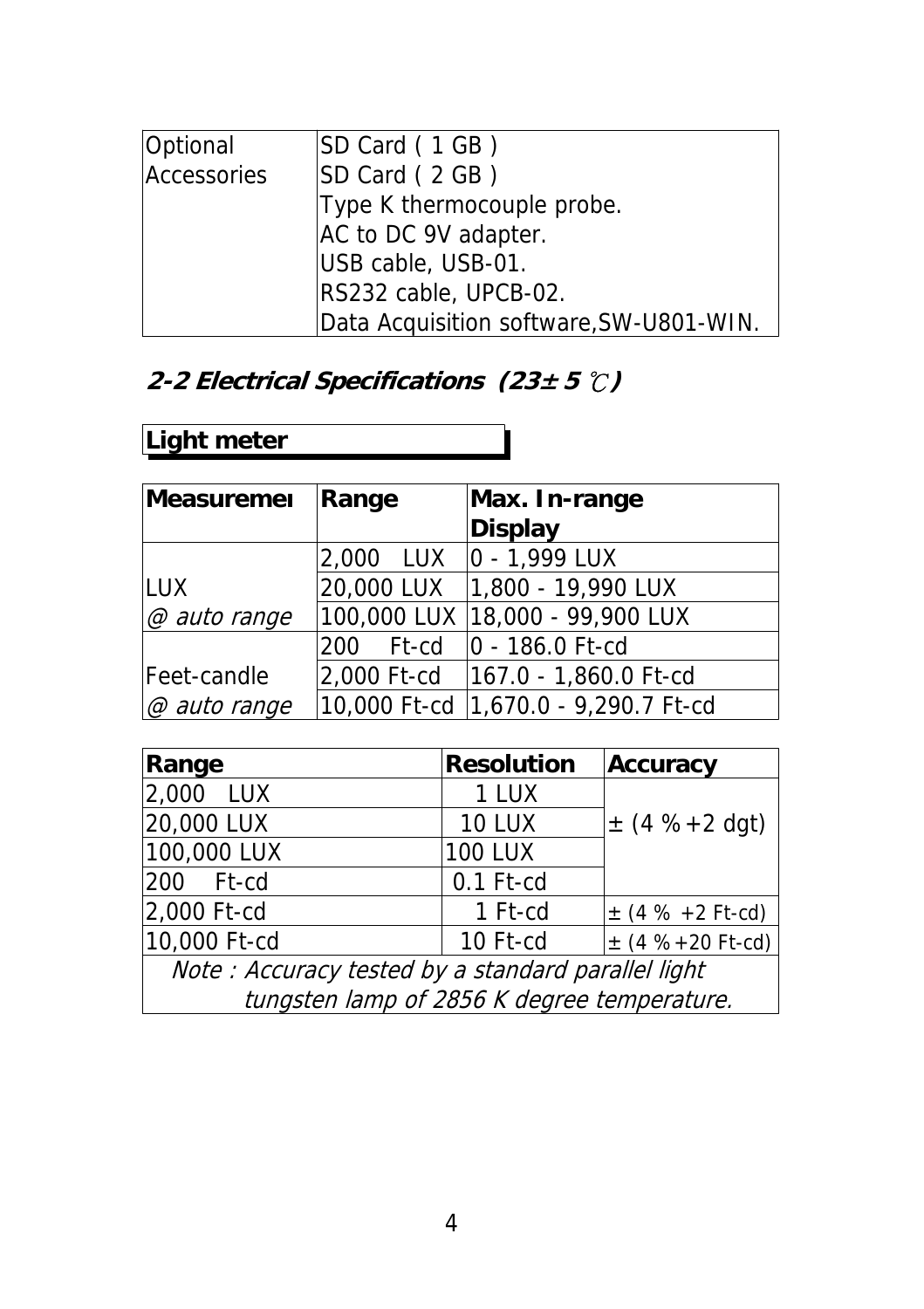| Optional    | SD Card (1GB)                           |
|-------------|-----------------------------------------|
| Accessories | SD Card (2GB)                           |
|             | Type K thermocouple probe.              |
|             | AC to DC 9V adapter.                    |
|             | USB cable, USB-01.                      |
|             | RS232 cable, UPCB-02.                   |
|             | Data Acquisition software, SW-U801-WIN. |

### **2-2 Electrical Specifications (23± 5 )** ℃

### **Light meter**

| Measuremer          | Range      | Max. In-range                          |  |  |
|---------------------|------------|----------------------------------------|--|--|
|                     |            | <b>Display</b>                         |  |  |
|                     | 2,000 LUX  | $ 0 - 1,999$ LUX                       |  |  |
| ILUX.               | 20,000 LUX | 1,800 - 19,990 LUX                     |  |  |
| @ auto range        |            | 100,000 LUX 18,000 - 99,900 LUX        |  |  |
|                     |            | 200 Ft-cd   0 - 186.0 Ft-cd            |  |  |
| Feet-candle         |            | 2,000 Ft-cd   167.0 - 1,860.0 Ft-cd    |  |  |
| $\varpi$ auto range |            | 10,000 Ft-cd   1,670.0 - 9,290.7 Ft-cd |  |  |

| Range                                              | <b>Resolution</b> | Accuracy               |  |  |
|----------------------------------------------------|-------------------|------------------------|--|--|
| 2,000 LUX                                          | 1 LUX             |                        |  |  |
| 20,000 LUX                                         | <b>10 LUX</b>     | $\pm$ (4 %+2 dgt)      |  |  |
| 100,000 LUX                                        | <b>100 LUX</b>    |                        |  |  |
| 200 Ft-cd                                          | $0.1$ Ft-cd       |                        |  |  |
| 2,000 Ft-cd                                        | 1 Ft-cd           | $\pm$ (4 % +2 Ft-cd)   |  |  |
| 10,000 Ft-cd                                       | 10 Ft-cd          | $\pm$ (4 % + 20 Ft-cd) |  |  |
| Note: Accuracy tested by a standard parallel light |                   |                        |  |  |

tungsten lamp of 2856 K degree temperature.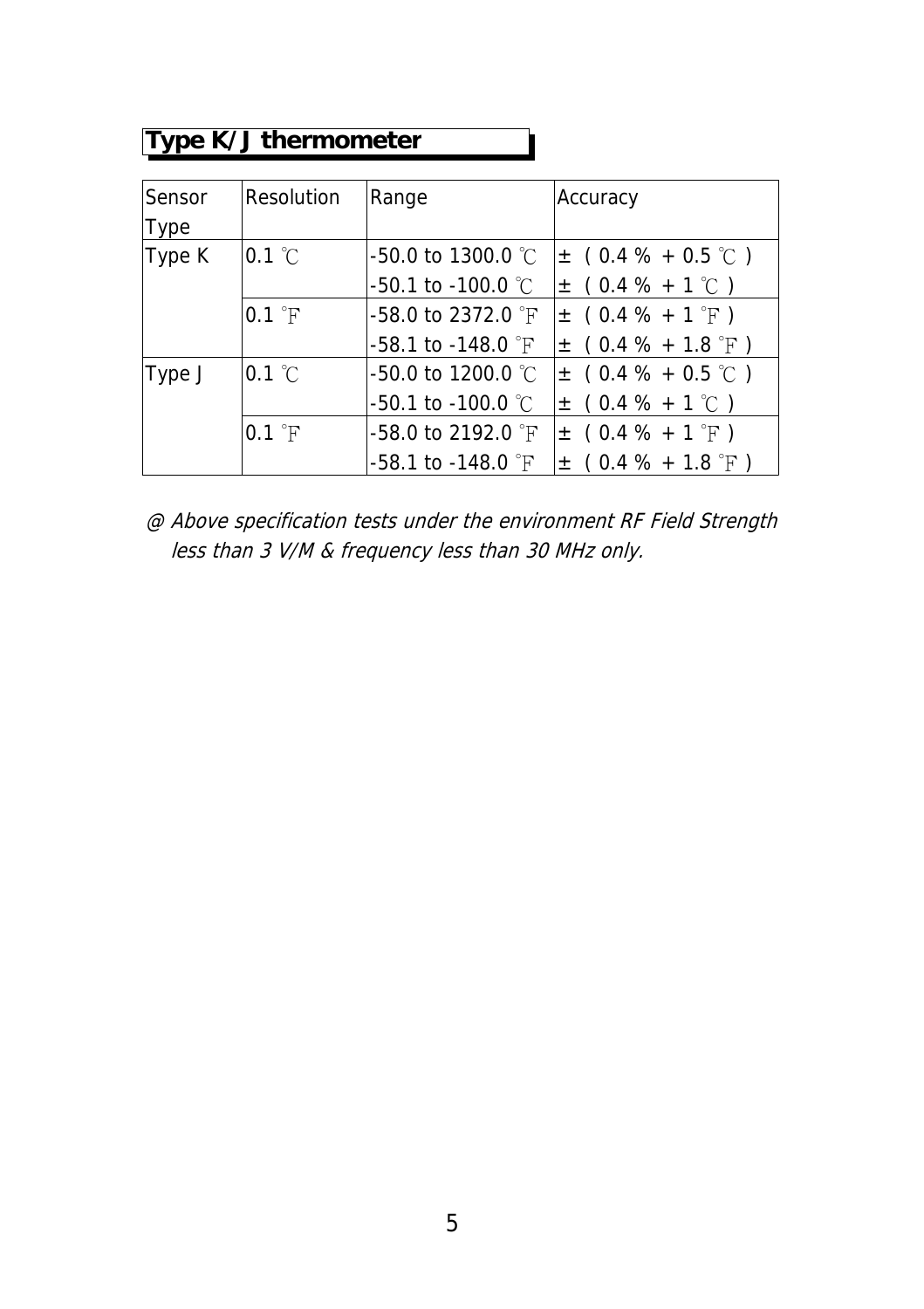### **Type K/J thermometer**

| Sensor | Resolution               | Range                           | Accuracy               |
|--------|--------------------------|---------------------------------|------------------------|
| Type   |                          |                                 |                        |
| Type K | $0.1\degree$ C           | $-50.0$ to 1300.0 °C            | $\pm$ (0.4 % + 0.5 °C) |
|        |                          | $-50.1$ to $-100.0$ °C          | $\pm$ (0.4 % + 1 °C)   |
|        | $0.1 \text{ }^{\circ}$ F | $-58.0$ to 2372.0 $\degree$ F   | $\pm$ (0.4 % + 1 °F)   |
|        |                          | $-58.1$ to $-148.0$ $\degree$ F | $\pm$ (0.4 % + 1.8 °F) |
| Type J | $0.1 \text{ }^{\circ}$ C | $-50.0$ to 1200.0 °C.           | $\pm$ (0.4 % + 0.5 °C) |
|        |                          | $-50.1$ to $-100.0$ °C          | $\pm$ (0.4 % + 1 °C)   |
|        | $0.1$ $\degree$ F        | $-58.0$ to 2192.0 $\degree$ F   | $\pm$ (0.4 % + 1 °F)   |
|        |                          | -58.1 to -148.0 $\degree$ F     | $\pm$ (0.4 % + 1.8 °F) |

@ Above specification tests under the environment RF Field Strength less than 3 V/M & frequency less than 30 MHz only.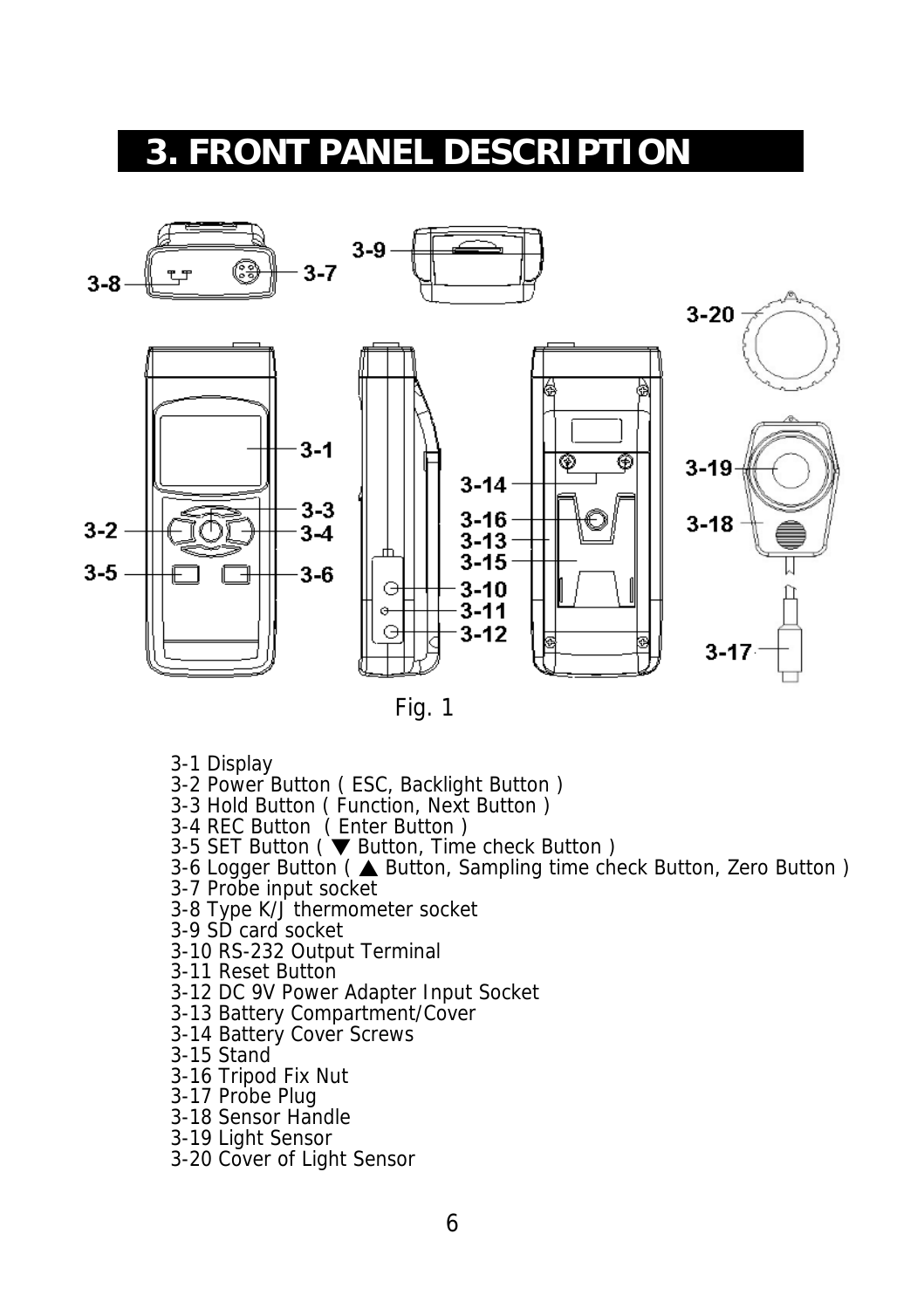### **3. FRONT PANEL DESCRIPTION**



Fig. 1

- 3-1 Display
- 3-2 Power Button ( ESC, Backlight Button )
- 3-3 Hold Button ( Function, Next Button )
- 3-4 REC Button ( Enter Button )
- 3-5 SET Button ( $\blacktriangledown$  Button, Time check Button)
- 3-6 Logger Button (▲ Button, Sampling time check Button, Zero Button)
- 3-7 Probe input socket
- 3-8 Type K/J thermometer socket
- 3-9 SD card socket
- 3-10 RS-232 Output Terminal
- 3-11 Reset Button
- 3-12 DC 9V Power Adapter Input Socket
- 3-13 Battery Compartment/Cover
- 3-14 Battery Cover Screws
- 3-15 Stand
- 3-16 Tripod Fix Nut
- 3-17 Probe Plug
- 3-18 Sensor Handle
- 3-19 Light Sensor
- 3-20 Cover of Light Sensor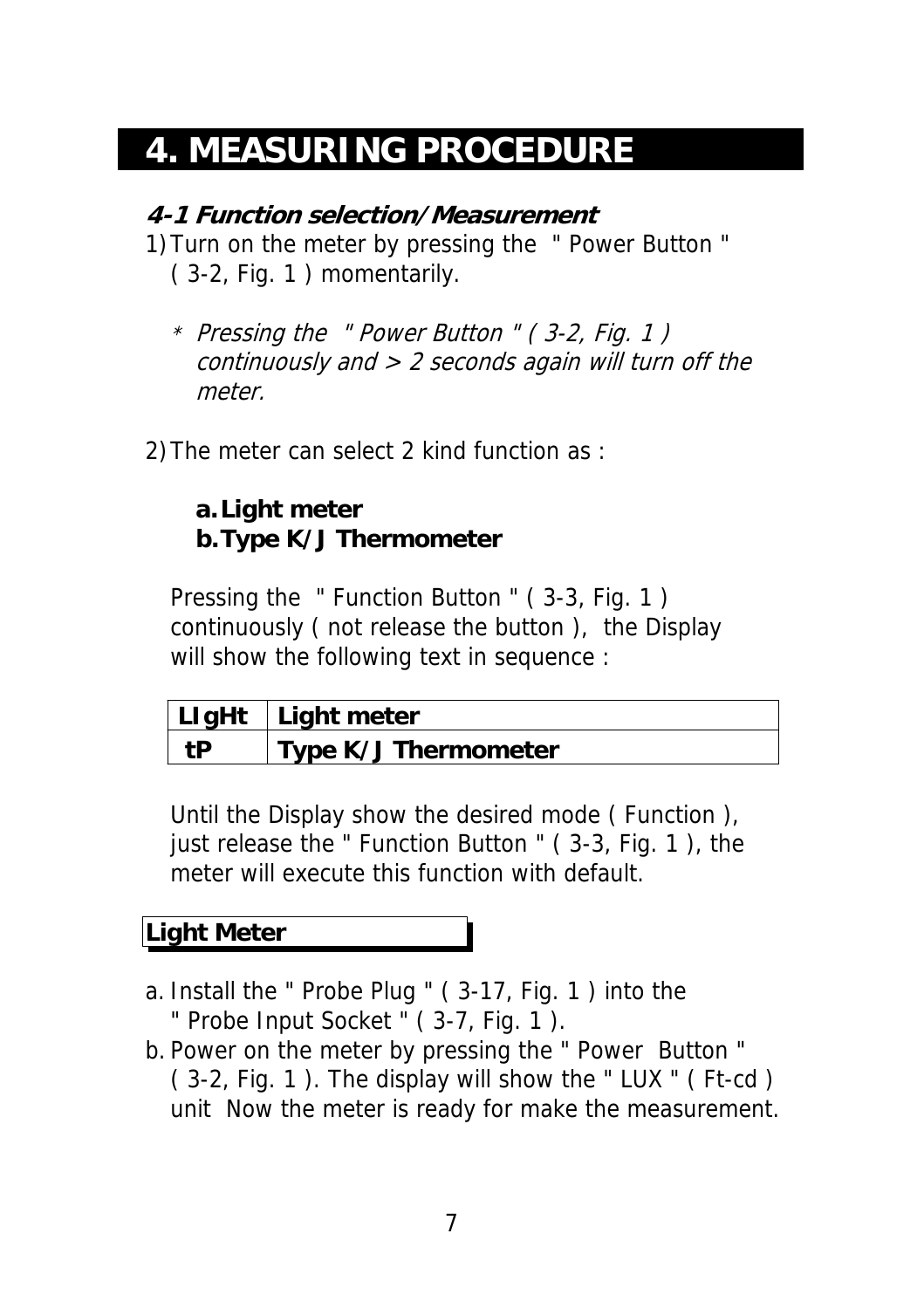### **4. MEASURING PROCEDURE**

### **4-1 Function selection/Measurement**

- 1)Turn on the meter by pressing the " Power Button " ( 3-2, Fig. 1 ) momentarily.
	- \* Pressing the " Power Button " ( 3-2, Fig. 1 ) continuously and  $> 2$  seconds again will turn off the meter.
- 2)The meter can select 2 kind function as :

### **a.Light meter b.Type K/J Thermometer**

Pressing the " Function Button " ( 3-3, Fig. 1 ) continuously ( not release the button ), the Display will show the following text in sequence :

|    | $LlgHt$ Light meter  |
|----|----------------------|
| tΒ | Type K/J Thermometer |

Until the Display show the desired mode ( Function ), just release the " Function Button " ( 3-3, Fig. 1 ), the meter will execute this function with default.

### **Light Meter**

- a. Install the " Probe Plug " ( 3-17, Fig. 1 ) into the " Probe Input Socket " ( 3-7, Fig. 1 ).
- b. Power on the meter by pressing the " Power Button " ( 3-2, Fig. 1 ). The display will show the " LUX " ( Ft-cd ) unit Now the meter is ready for make the measurement.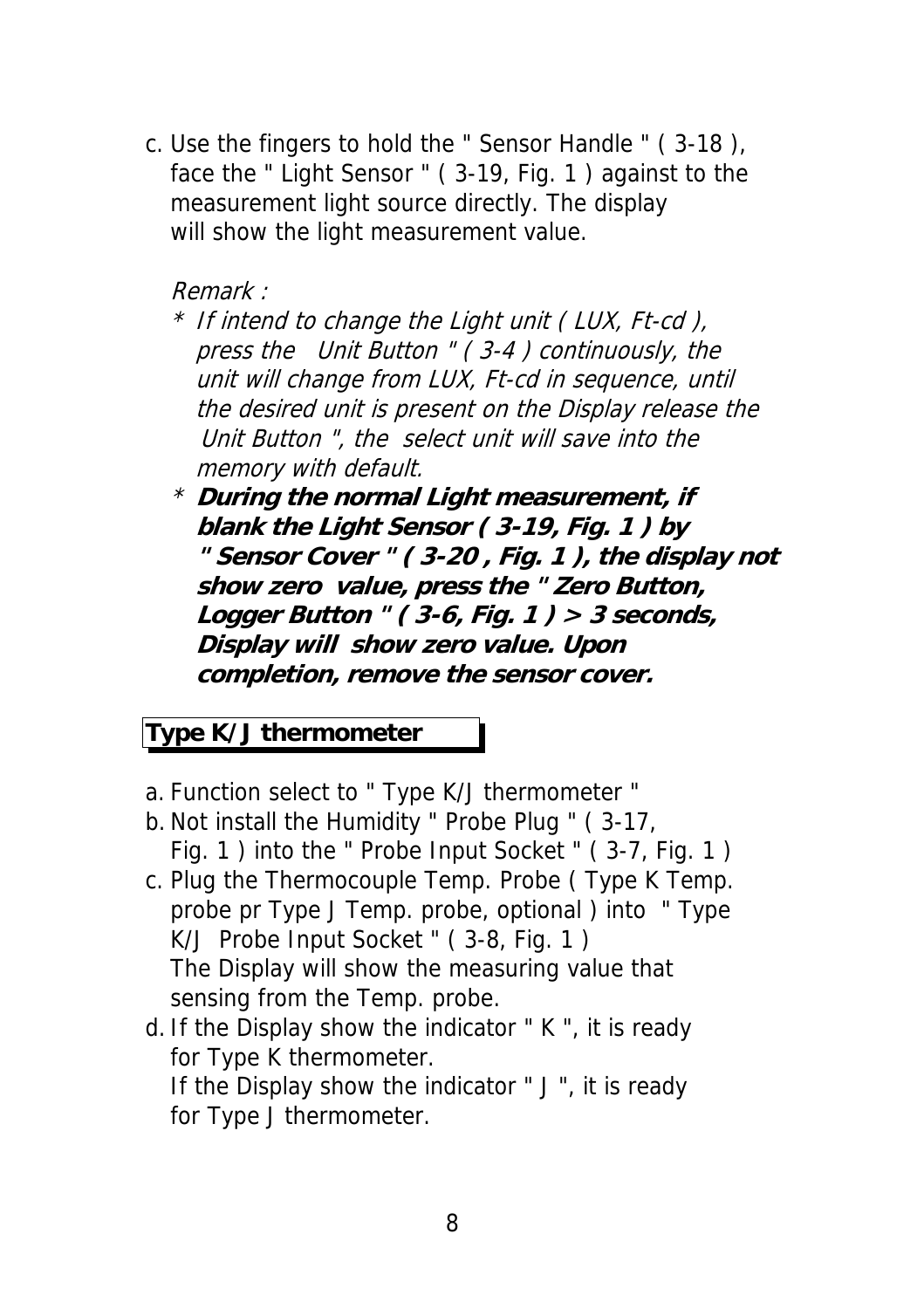c. Use the fingers to hold the " Sensor Handle " ( 3-18 ), face the " Light Sensor " ( 3-19, Fig. 1 ) against to the measurement light source directly. The display will show the light measurement value.

#### Remark :

- \* If intend to change the Light unit ( LUX, Ft-cd ), press the Unit Button " ( 3-4 ) continuously, the unit will change from LUX, Ft-cd in sequence, until the desired unit is present on the Display release the Unit Button ", the select unit will save into the memory with default.
- \* **During the normal Light measurement, if blank the Light Sensor ( 3-19, Fig. 1 ) by " Sensor Cover " ( 3-20 , Fig. 1 ), the display not show zero value, press the " Zero Button, Logger Button " ( 3-6, Fig. 1 ) > 3 seconds, Display will show zero value. Upon completion, remove the sensor cover.**

### **Type K/J thermometer**

- a. Function select to " Type K/J thermometer "
- b. Not install the Humidity " Probe Plug " ( 3-17, Fig. 1 ) into the " Probe Input Socket " ( 3-7, Fig. 1 )
- c. Plug the Thermocouple Temp. Probe ( Type K Temp. probe pr Type J Temp. probe, optional ) into " Type K/J Probe Input Socket " ( 3-8, Fig. 1 ) The Display will show the measuring value that sensing from the Temp. probe.
- d. If the Display show the indicator " K ", it is ready for Type K thermometer. If the Display show the indicator " J ", it is ready for Type J thermometer.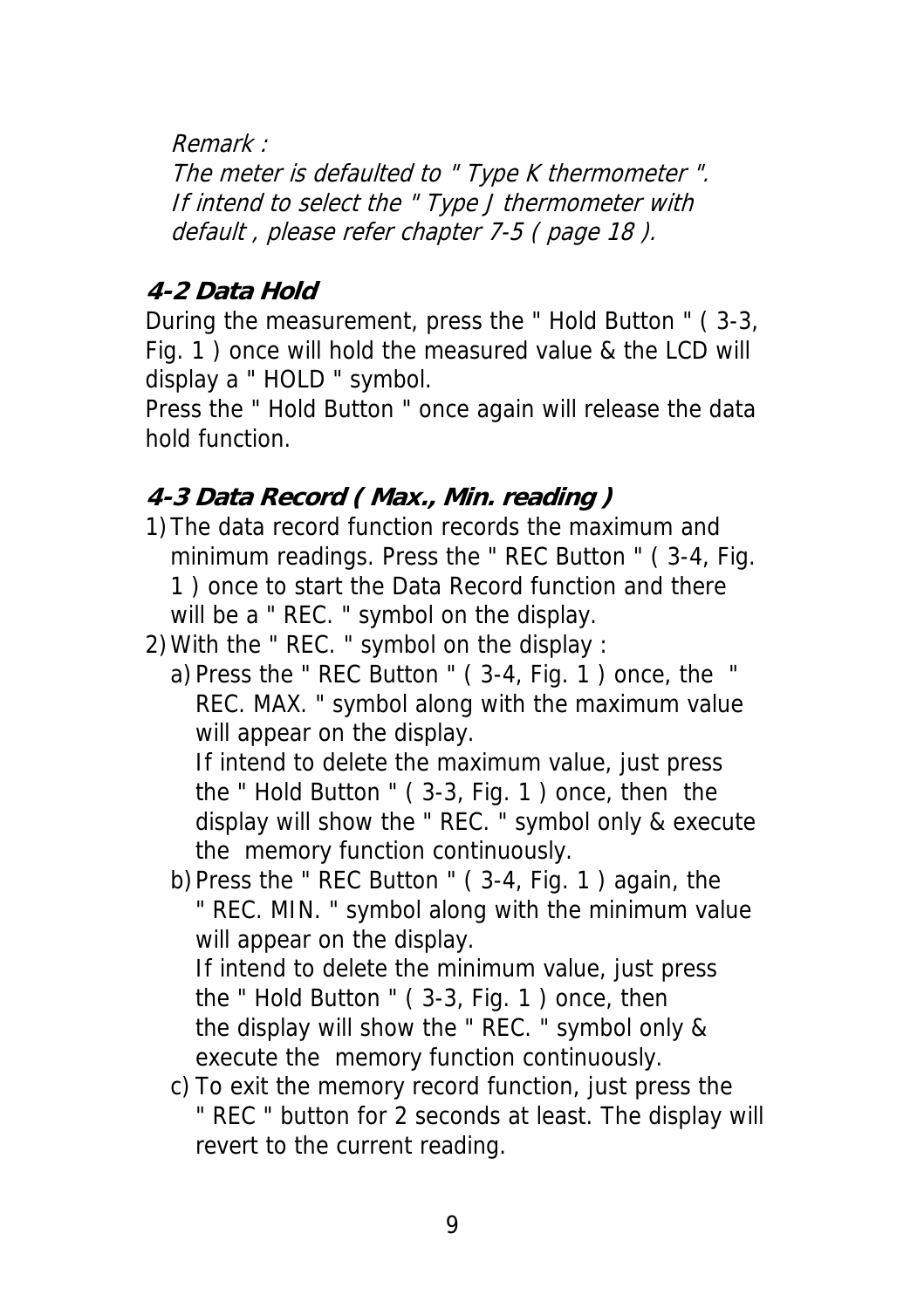Remark :

The meter is defaulted to " Type K thermometer ". If intend to select the " Type J thermometer with default , please refer chapter 7-5 ( page 18 ).

### **4-2 Data Hold**

During the measurement, press the " Hold Button " ( 3-3, Fig. 1 ) once will hold the measured value & the LCD will display a " HOLD " symbol.

Press the " Hold Button " once again will release the data hold function.

### **4-3 Data Record ( Max., Min. reading )**

- 1)The data record function records the maximum and minimum readings. Press the " REC Button " ( 3-4, Fig. 1 ) once to start the Data Record function and there will be a " REC. " symbol on the display.
- 2)With the " REC. " symbol on the display :
	- a)Press the " REC Button " ( 3-4, Fig. 1 ) once, the " REC. MAX. " symbol along with the maximum value will appear on the display.

If intend to delete the maximum value, just press the " Hold Button " ( 3-3, Fig. 1 ) once, then the display will show the " REC. " symbol only & execute the memory function continuously.

b)Press the " REC Button " ( 3-4, Fig. 1 ) again, the " REC. MIN. " symbol along with the minimum value will appear on the display.

If intend to delete the minimum value, just press the " Hold Button " ( 3-3, Fig. 1 ) once, then the display will show the " REC. " symbol only & execute the memory function continuously.

c) To exit the memory record function, just press the " REC " button for 2 seconds at least. The display will revert to the current reading.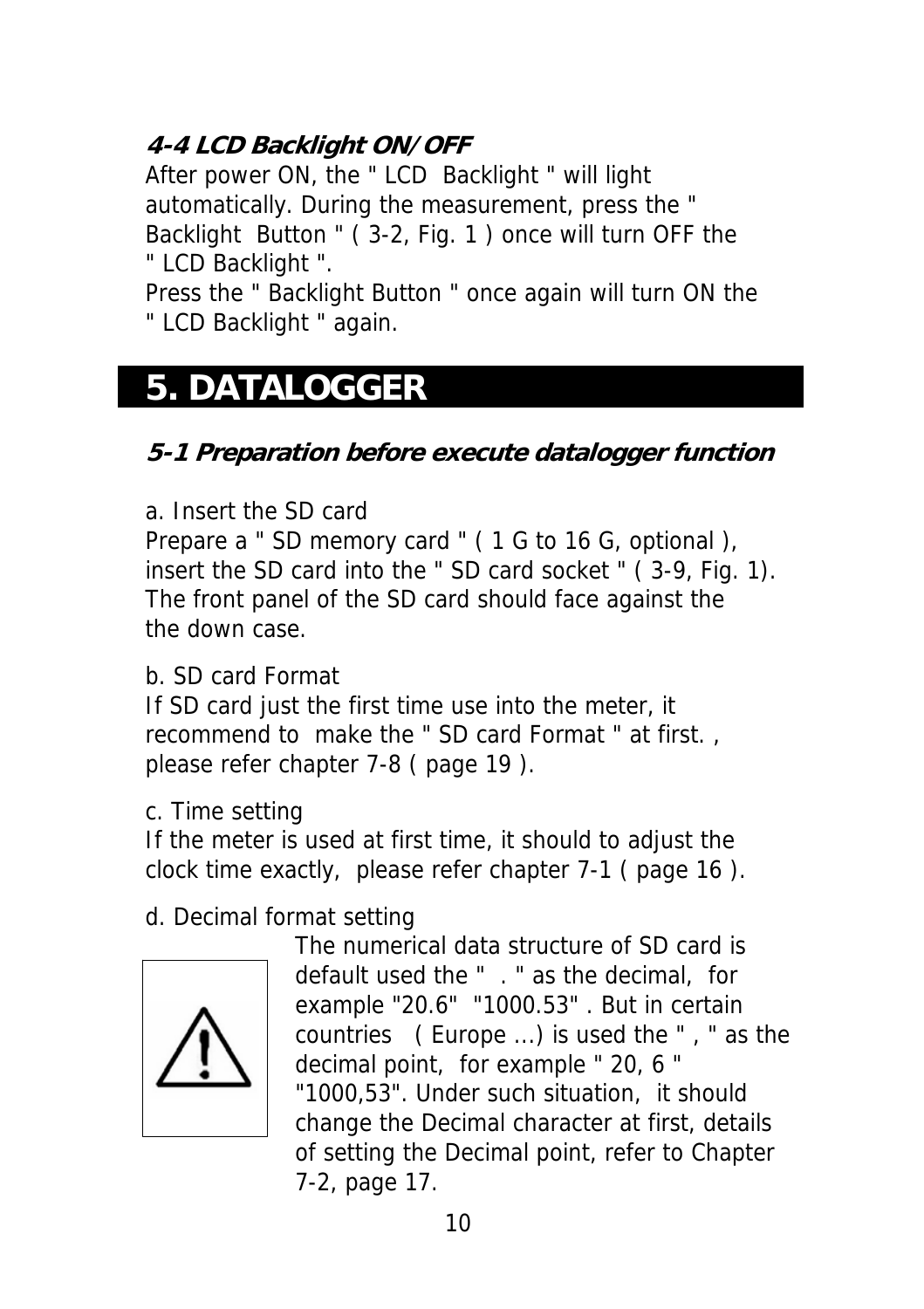### **4-4 LCD Backlight ON/OFF**

After power ON, the " LCD Backlight " will light automatically. During the measurement, press the " Backlight Button " ( 3-2, Fig. 1 ) once will turn OFF the " LCD Backlight ".

Press the " Backlight Button " once again will turn ON the " LCD Backlight " again.

### **5. DATALOGGER**

### **5-1 Preparation before execute datalogger function**

a. Insert the SD card

Prepare a " SD memory card " ( 1 G to 16 G, optional ), insert the SD card into the " SD card socket " ( 3-9, Fig. 1). The front panel of the SD card should face against the the down case.

#### b. SD card Format

If SD card just the first time use into the meter, it recommend to make the " SD card Format " at first. , please refer chapter 7-8 ( page 19 ).

c. Time setting

If the meter is used at first time, it should to adjust the clock time exactly, please refer chapter 7-1 ( page 16 ).

### d. Decimal format setting



The numerical data structure of SD card is default used the " . " as the decimal, for example "20.6" "1000.53" . But in certain countries ( Europe ...) is used the " , " as the decimal point, for example " 20, 6 " "1000,53". Under such situation, it should change the Decimal character at first, details of setting the Decimal point, refer to Chapter 7-2, page 17.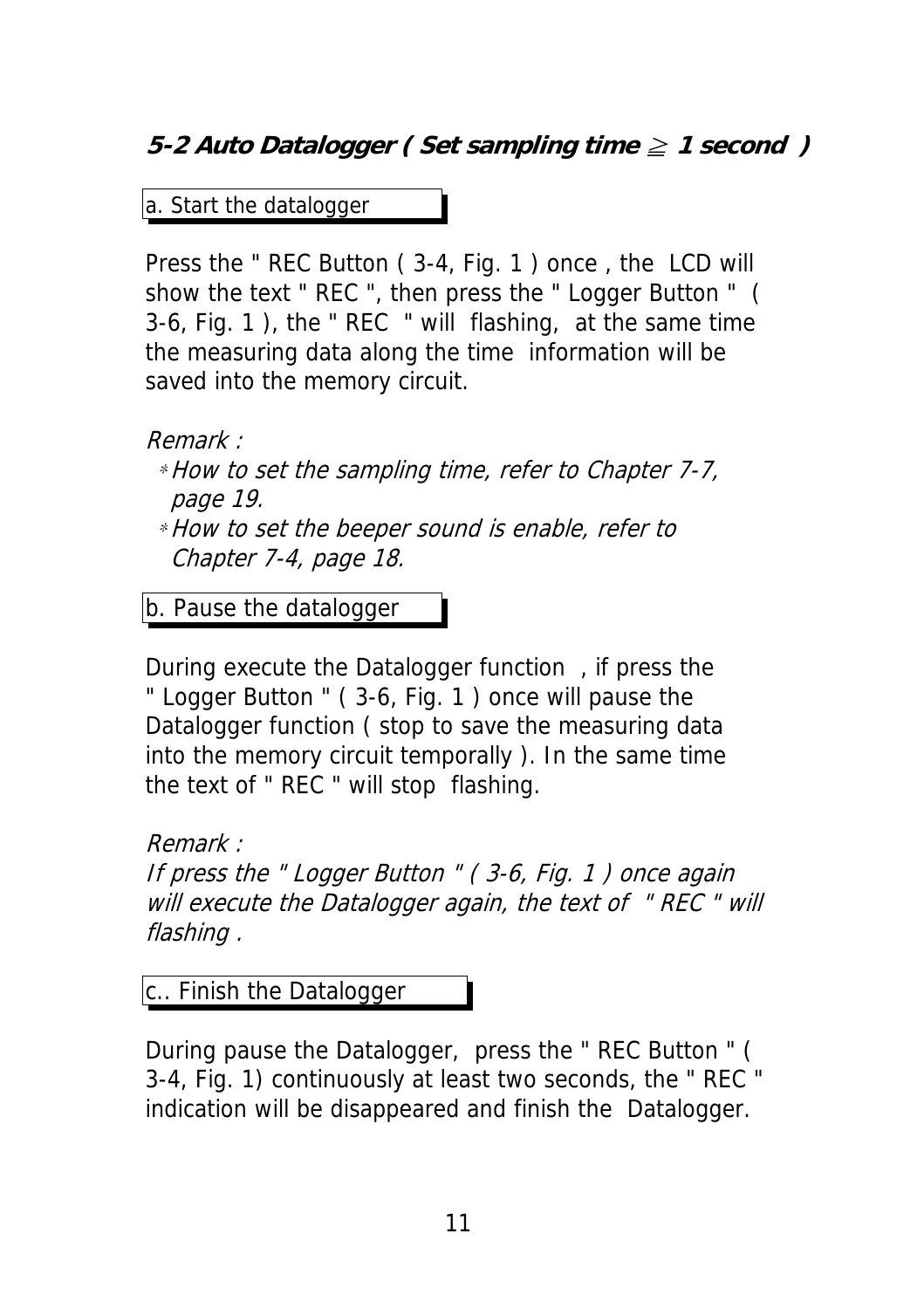### **5-2 Auto Datalogger ( Set sampling time ≥ 1 second )**

a. Start the datalogger

Press the " REC Button ( 3-4, Fig. 1 ) once , the LCD will show the text " REC ", then press the " Logger Button " ( 3-6, Fig. 1 ), the " REC " will flashing, at the same time the measuring data along the time information will be saved into the memory circuit.

Remark :

\*How to set the sampling time, refer to Chapter 7-7, page 19.

\*How to set the beeper sound is enable, refer to Chapter 7-4, page 18.

b. Pause the datalogger

During execute the Datalogger function , if press the " Logger Button " ( 3-6, Fig. 1 ) once will pause the Datalogger function ( stop to save the measuring data into the memory circuit temporally ). In the same time the text of " REC " will stop flashing.

Remark :

If press the " Logger Button " ( 3-6, Fig. 1 ) once again will execute the Datalogger again, the text of "REC" will flashing .

c.. Finish the Datalogger

During pause the Datalogger, press the " REC Button " ( 3-4, Fig. 1) continuously at least two seconds, the " REC " indication will be disappeared and finish the Datalogger.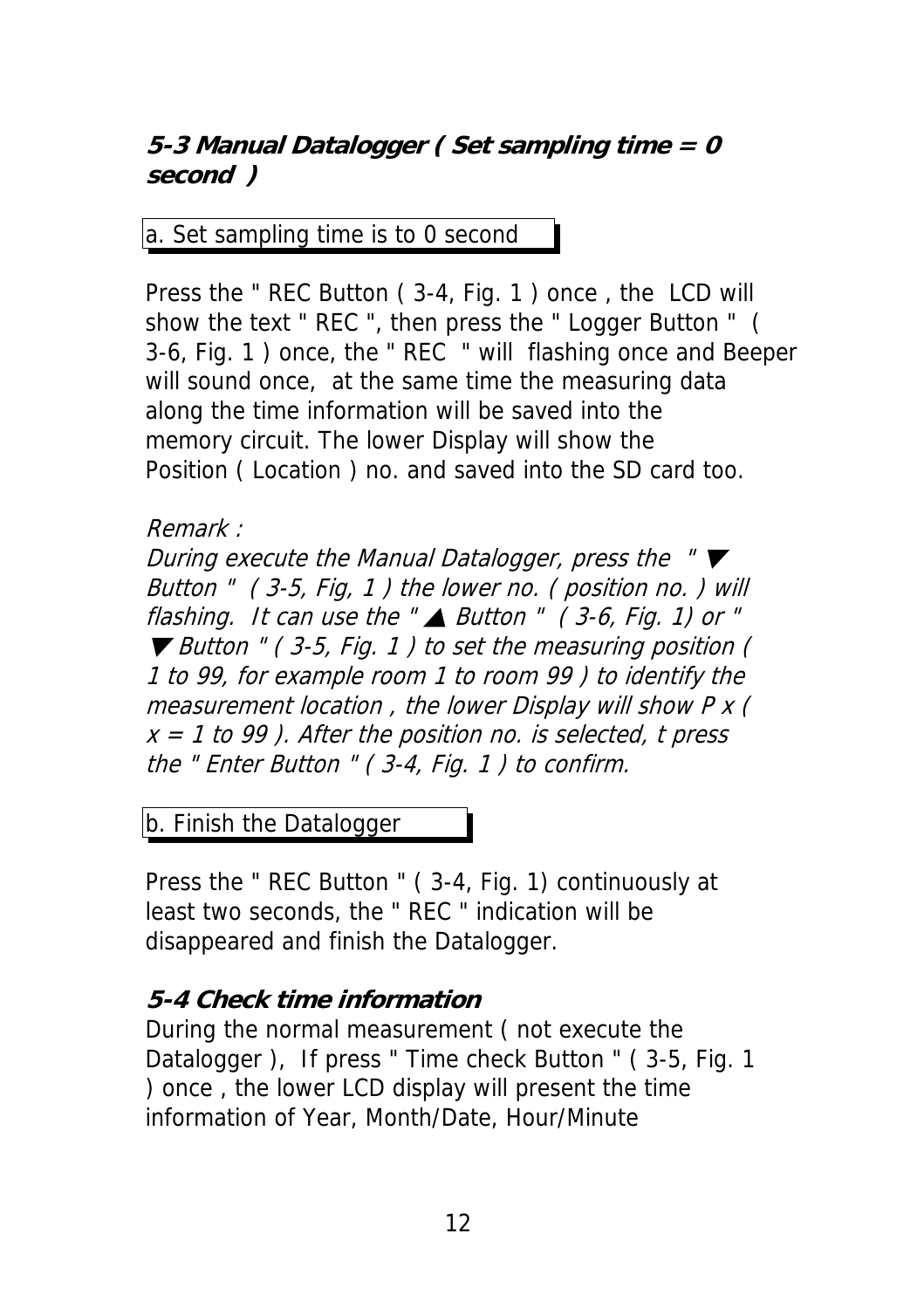### **5-3 Manual Datalogger ( Set sampling time = 0 second )**

a. Set sampling time is to 0 second

Press the " REC Button ( 3-4, Fig. 1 ) once , the LCD will show the text " REC ", then press the " Logger Button " ( 3-6, Fig. 1 ) once, the " REC " will flashing once and Beeper will sound once, at the same time the measuring data along the time information will be saved into the memory circuit. The lower Display will show the Position ( Location ) no. and saved into the SD card too.

#### Remark :

During execute the Manual Datalogger, press the " $\nabla$ Button " ( 3-5, Fig, 1 ) the lower no. ( position no. ) will flashing. It can use the " $\triangle$  Button " (3-6, Fig. 1) or " ▼ Button " ( 3-5, Fig. 1 ) to set the measuring position ( 1 to 99, for example room 1 to room 99 ) to identify the measurement location , the lower Display will show P x (  $x = 1$  to 99). After the position no. is selected, t press the " Enter Button " ( 3-4, Fig. 1 ) to confirm.

b. Finish the Datalogger

Press the " REC Button " ( 3-4, Fig. 1) continuously at least two seconds, the " REC " indication will be disappeared and finish the Datalogger.

### **5-4 Check time information**

During the normal measurement ( not execute the Datalogger ), If press " Time check Button " ( 3-5, Fig. 1 ) once , the lower LCD display will present the time information of Year, Month/Date, Hour/Minute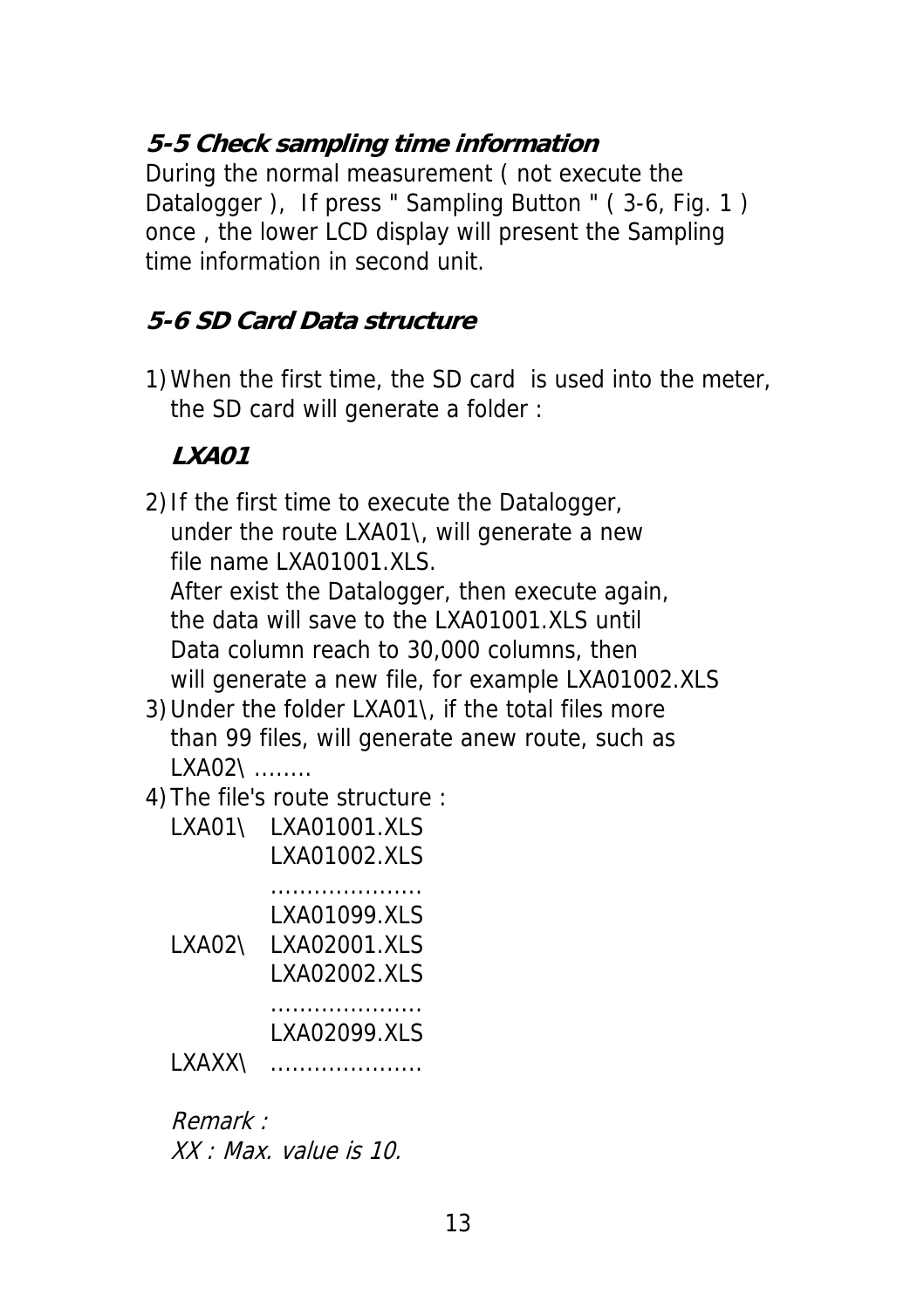### **5-5 Check sampling time information**

During the normal measurement ( not execute the Datalogger ), If press " Sampling Button " ( 3-6, Fig. 1 ) once , the lower LCD display will present the Sampling time information in second unit.

### **5-6 SD Card Data structure**

1)When the first time, the SD card is used into the meter, the SD card will generate a folder :

### **LXA01**

2)If the first time to execute the Datalogger, under the route LXA01\, will generate a new file name LXA01001.XLS. After exist the Datalogger, then execute again, the data will save to the LXA01001.XLS until Data column reach to 30,000 columns, then will generate a new file, for example LXA01002.XLS

3)Under the folder LXA01\, if the total files more than 99 files, will generate anew route, such as LXA02\ ........

4)The file's route structure :

| LXA01\  | LXA01001.XLS<br>LXA01002.XLS                   |
|---------|------------------------------------------------|
| I XAO2\ | LXA01099.XLS<br>I XAO2001.XI S<br>LXA02002.XLS |
| I XAXX\ | LXA02099.XLS                                   |

Remark : XX : Max. value is 10.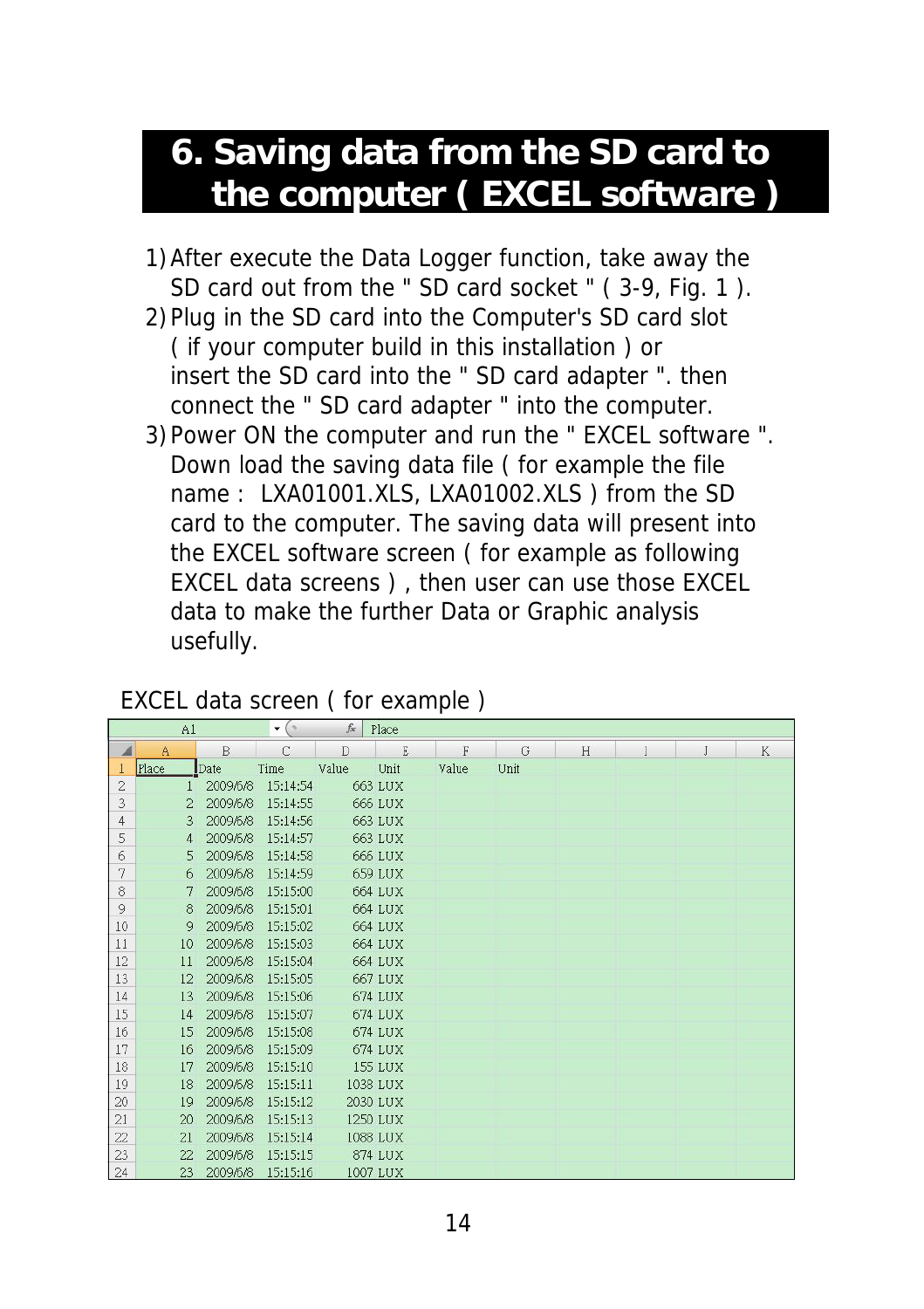### **6. Saving data from the SD card to the computer ( EXCEL software )**

- 1)After execute the Data Logger function, take away the SD card out from the " SD card socket " ( 3-9, Fig. 1 ).
- 2)Plug in the SD card into the Computer's SD card slot ( if your computer build in this installation ) or insert the SD card into the " SD card adapter ". then connect the " SD card adapter " into the computer.
- 3)Power ON the computer and run the " EXCEL software ". Down load the saving data file ( for example the file name : LXA01001.XLS, LXA01002.XLS ) from the SD card to the computer. The saving data will present into the EXCEL software screen ( for example as following EXCEL data screens ) , then user can use those EXCEL data to make the further Data or Graphic analysis usefully.

#### EXCEL data screen ( for example )

|                | A1             |          | $\mathbf{v}$ (a) | $f_x$ | Place    |       |      |   |   |   |        |
|----------------|----------------|----------|------------------|-------|----------|-------|------|---|---|---|--------|
| ◢              | $\mathbf{A}$   | B        | $\mathbb{C}$     | D     | E        | F     | G    | H | I | J | $\,$ K |
|                | Place          | Date     | Time             | Value | Unit     | Value | Unit |   |   |   |        |
| $\overline{2}$ |                | 2009/6/8 | 15:14:54         |       | 663 LUX  |       |      |   |   |   |        |
| 3              | $\overline{2}$ | 2009/6/8 | 15:14:55         |       | 666 LUX  |       |      |   |   |   |        |
| 4              | 3              | 2009/6/8 | 15:14:56         |       | 663 LUX  |       |      |   |   |   |        |
| 5              | $\overline{4}$ | 2009/6/8 | 15:14:57         |       | 663 LUX  |       |      |   |   |   |        |
| 6              | 5              | 2009/6/8 | 15:14:58         |       | 666 LUX  |       |      |   |   |   |        |
| 7              | 6              | 2009/6/8 | 15:14:59         |       | 659 LUX  |       |      |   |   |   |        |
| 8              | 7              | 2009/6/8 | 15:15:00         |       | 664 LUX  |       |      |   |   |   |        |
| 9              | 8              | 2009/6/8 | 15:15:01         |       | 664 LUX  |       |      |   |   |   |        |
| 10             | 9              | 2009/6/8 | 15:15:02         |       | 664 LUX  |       |      |   |   |   |        |
| 11             | 10             | 2009/6/8 | 15:15:03         |       | 664 LUX  |       |      |   |   |   |        |
| 12             | 11             | 2009/6/8 | 15:15:04         |       | 664 LUX  |       |      |   |   |   |        |
| 13             | 12             | 2009/6/8 | 15:15:05         |       | 667 LUX  |       |      |   |   |   |        |
| 14             | 13             | 2009/6/8 | 15:15:06         |       | 674 LUX  |       |      |   |   |   |        |
| 15             | 14             | 2009/6/8 | 15:15:07         |       | 674 LUX  |       |      |   |   |   |        |
| 16             | 15             | 2009/6/8 | 15:15:08         |       | 674 LUX  |       |      |   |   |   |        |
| 17             | 16             | 2009/6/8 | 15:15:09         |       | 674 LUX  |       |      |   |   |   |        |
| 18             | 17             | 2009/6/8 | 15:15:10         |       | 155 LUX  |       |      |   |   |   |        |
| 19             | 18             | 2009/6/8 | 15:15:11         |       | 1038 LUX |       |      |   |   |   |        |
| 20             | 19             | 2009/6/8 | 15:15:12         |       | 2030 LUX |       |      |   |   |   |        |
| 21             | 20             | 2009/6/8 | 15:15:13         |       | 1250 LUX |       |      |   |   |   |        |
| 22             | 21             | 2009/6/8 | 15:15:14         |       | 1088 LUX |       |      |   |   |   |        |
| 23             | 22             | 2009/6/8 | 15:15:15         |       | 874 LUX  |       |      |   |   |   |        |
| 24             | 23             | 2009/6/8 | 15:15:16         |       | 1007 LUX |       |      |   |   |   |        |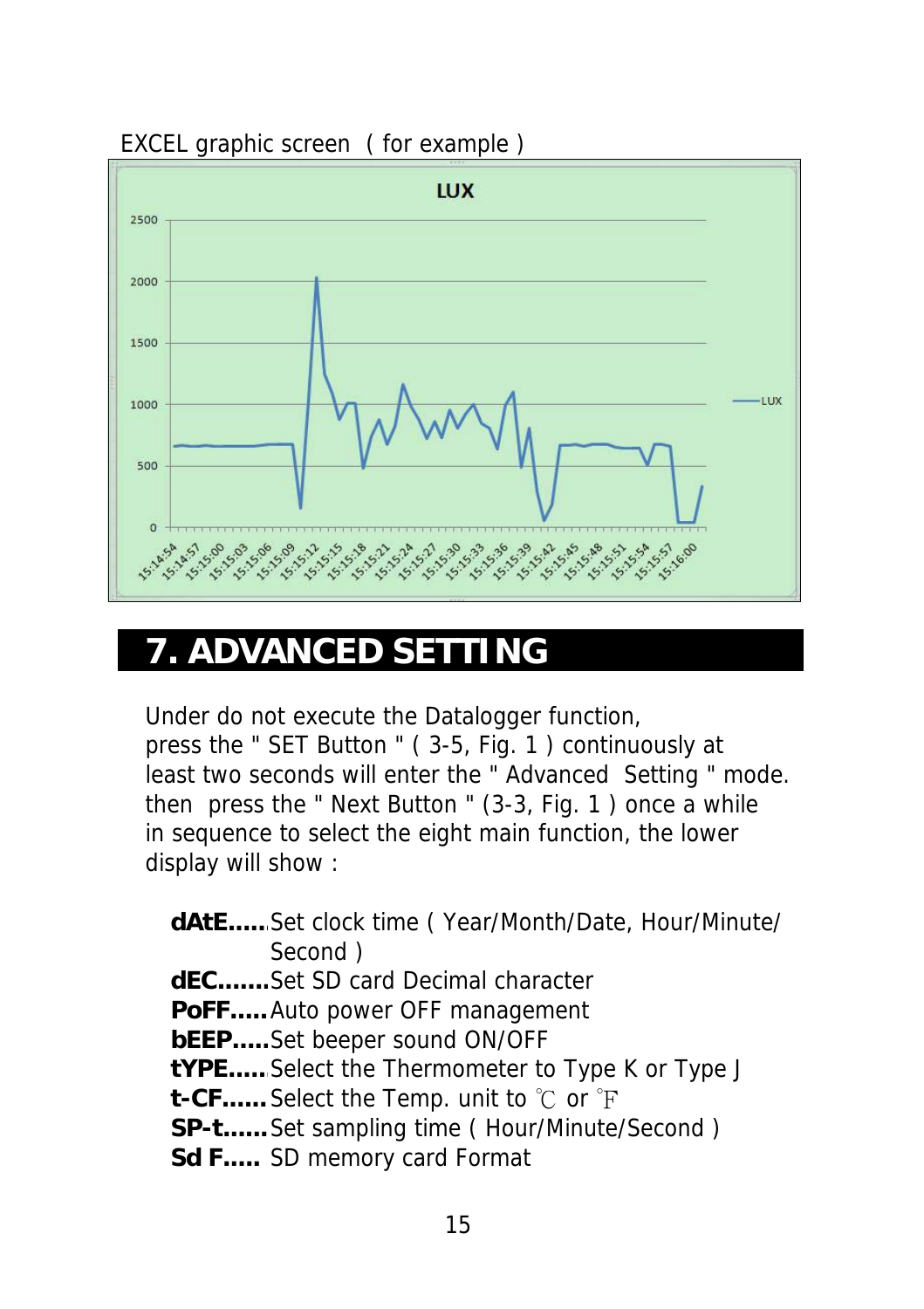

#### EXCEL graphic screen ( for example )

### **7. ADVANCED SETTING**

Under do not execute the Datalogger function, press the " SET Button " ( 3-5, Fig. 1 ) continuously at least two seconds will enter the " Advanced Setting " mode. then press the " Next Button " (3-3, Fig. 1 ) once a while in sequence to select the eight main function, the lower display will show :

**dAtE......**Set clock time ( Year/Month/Date, Hour/Minute/ Second ) **dEC.......**Set SD card Decimal character **PoFF.....**Auto power OFF management **bEEP.....**Set beeper sound ON/OFF **tYPE......**Select the Thermometer to Type K or Type J **t-CF......** Select the Temp. unit to ℃ or F **SP-t......**Set sampling time ( Hour/Minute/Second ) **Sd F.....** SD memory card Format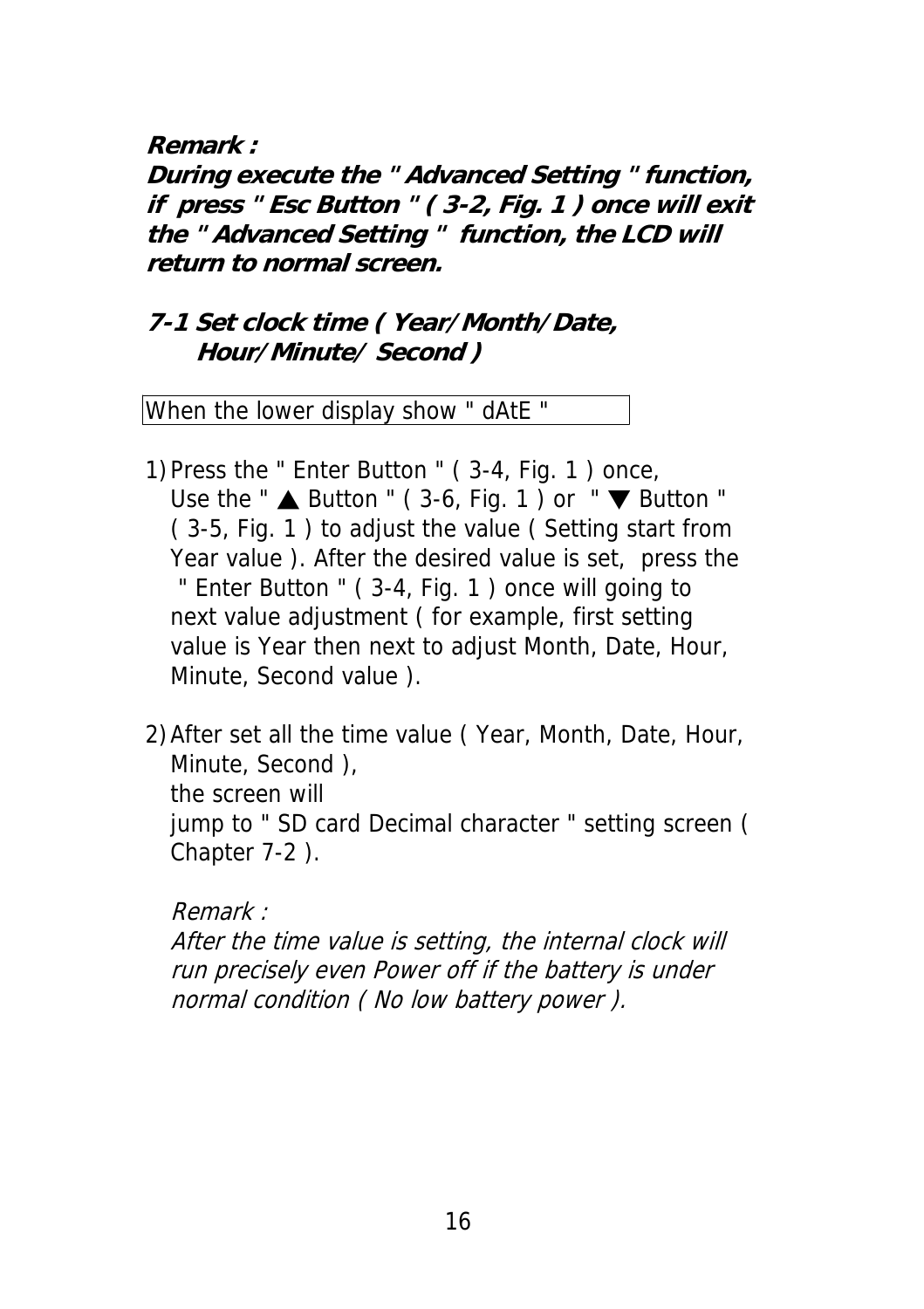**Remark :**

**During execute the " Advanced Setting " function, if press " Esc Button " ( 3-2, Fig. 1 ) once will exit the " Advanced Setting " function, the LCD will return to normal screen.**

### **7-1 Set clock time ( Year/Month/Date, Hour/Minute/ Second )**

When the lower display show " dAtE "

- 1)Press the " Enter Button " ( 3-4, Fig. 1 ) once, Use the " $\triangle$  Button " (3-6, Fig. 1) or " $\nabla$  Button " ( 3-5, Fig. 1 ) to adjust the value ( Setting start from Year value ). After the desired value is set, press the " Enter Button " ( 3-4, Fig. 1 ) once will going to next value adjustment ( for example, first setting value is Year then next to adjust Month, Date, Hour, Minute, Second value ).
- 2)After set all the time value ( Year, Month, Date, Hour, Minute, Second ), the screen will jump to " SD card Decimal character " setting screen ( Chapter 7-2 ).

Remark :

After the time value is setting, the internal clock will run precisely even Power off if the battery is under normal condition ( No low battery power ).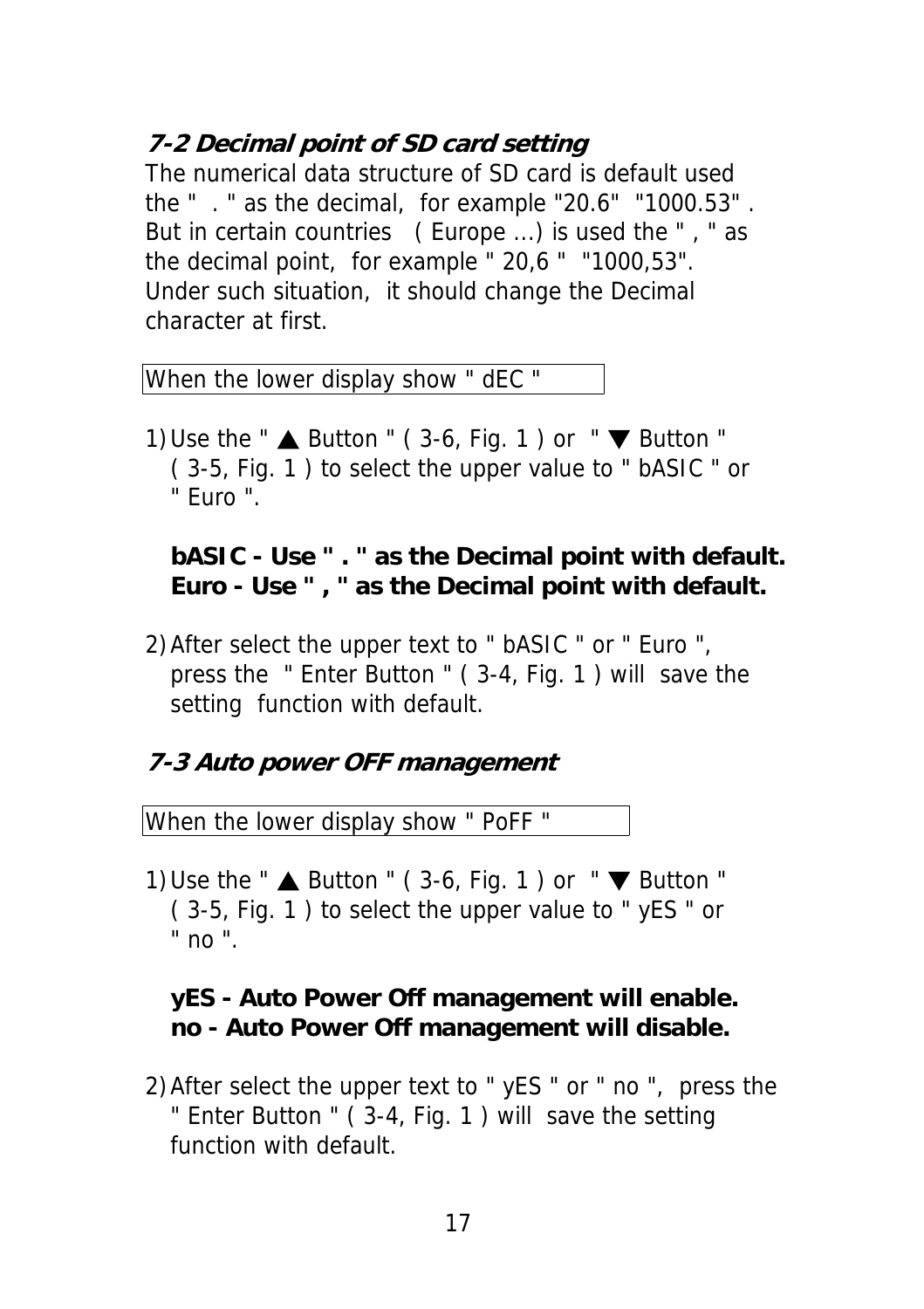### **7-2 Decimal point of SD card setting**

The numerical data structure of SD card is default used the " . " as the decimal, for example "20.6" "1000.53" . But in certain countries ( Europe ...) is used the " , " as the decimal point, for example " 20,6 " "1000,53". Under such situation, it should change the Decimal character at first.

When the lower display show " dEC "

1) Use the " $\triangle$  Button " (3-6, Fig. 1) or " $\nabla$  Button " ( 3-5, Fig. 1 ) to select the upper value to " bASIC " or " Euro ".

#### **bASIC - Use " . " as the Decimal point with default. Euro - Use " , " as the Decimal point with default.**

2)After select the upper text to " bASIC " or " Euro ", press the " Enter Button " ( 3-4, Fig. 1 ) will save the setting function with default.

### **7-3 Auto power OFF management**

When the lower display show " PoFF "

1) Use the " $\triangle$  Button " (3-6, Fig. 1) or " $\nabla$  Button " ( 3-5, Fig. 1 ) to select the upper value to " yES " or " no ".

#### **yES - Auto Power Off management will enable. no - Auto Power Off management will disable.**

2)After select the upper text to " yES " or " no ", press the " Enter Button " ( 3-4, Fig. 1 ) will save the setting function with default.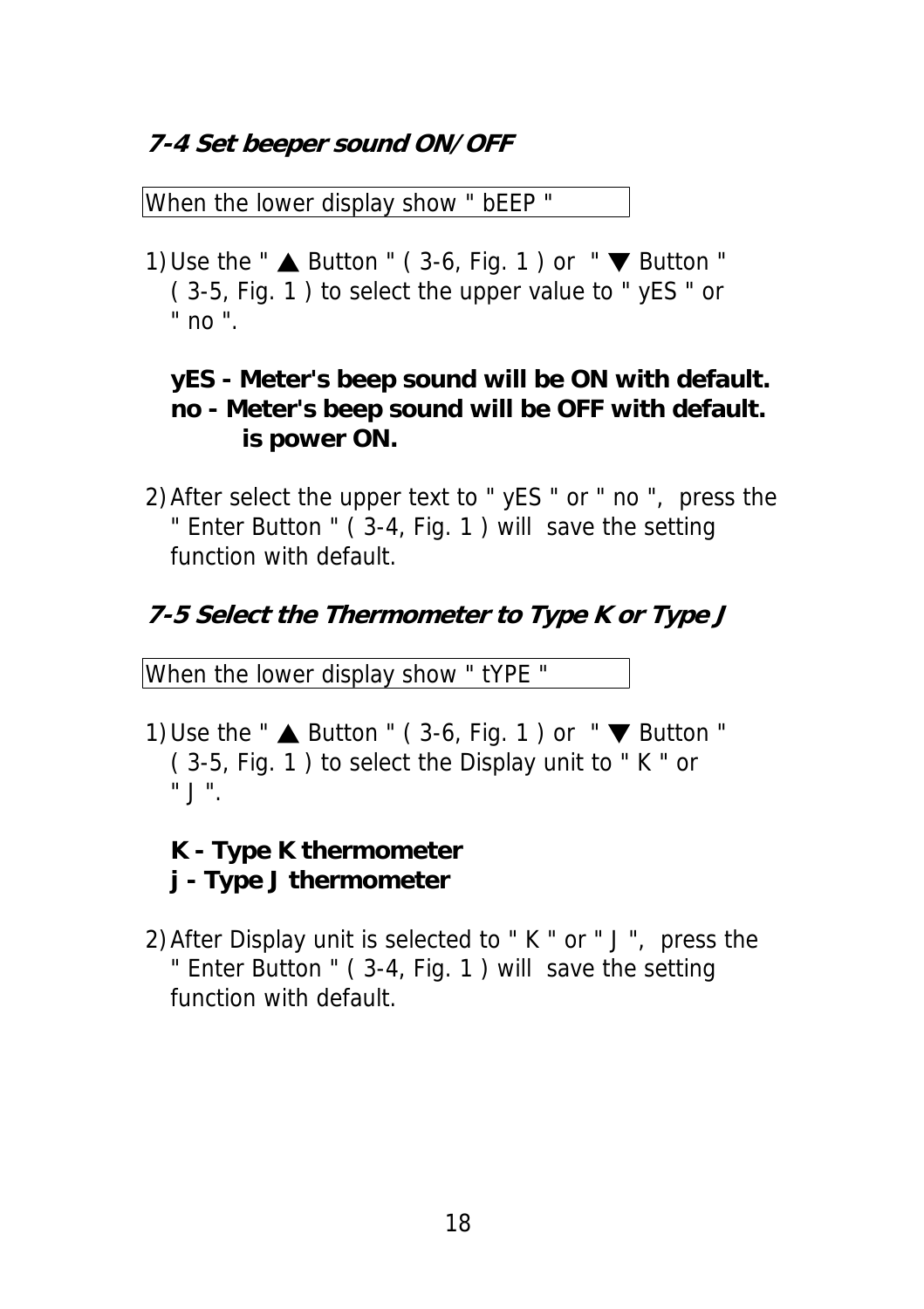### **7-4 Set beeper sound ON/OFF**

When the lower display show " bEEP "

1) Use the " $\triangle$  Button " (3-6, Fig. 1) or " $\nabla$  Button " ( 3-5, Fig. 1 ) to select the upper value to " yES " or " no ".

### **yES - Meter's beep sound will be ON with default. no - Meter's beep sound will be OFF with default. is power ON.**

2)After select the upper text to " yES " or " no ", press the " Enter Button " ( 3-4, Fig. 1 ) will save the setting function with default.

### **7-5 Select the Thermometer to Type K or Type J**

When the lower display show " tYPE "

1) Use the " $\triangle$  Button " (3-6, Fig. 1) or " $\nabla$  Button " ( 3-5, Fig. 1 ) to select the Display unit to " K " or " J ".

### **K - Type K thermometer j - Type J thermometer**

2)After Display unit is selected to " K " or " J ", press the " Enter Button " ( 3-4, Fig. 1 ) will save the setting function with default.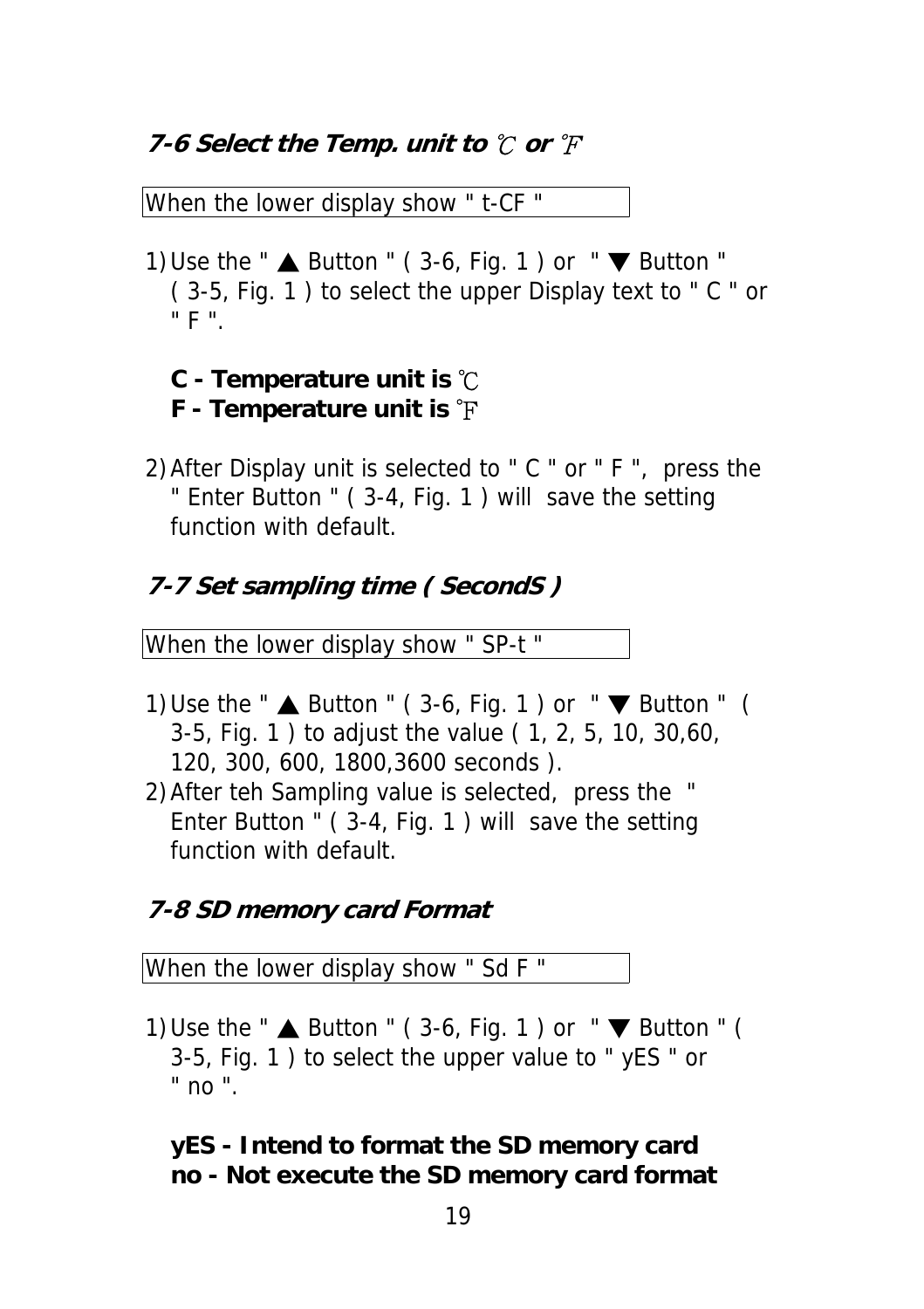#### **7-6 Select the Temp. unit to ℃ or °F**

When the lower display show " t-CF "

1) Use the " $\triangle$  Button " (3-6, Fig. 1) or " $\nabla$  Button " ( 3-5, Fig. 1 ) to select the upper Display text to " C " or " F ".

#### **C - Temperature unit is** ℃ **F - Temperature unit is** ℉

2)After Display unit is selected to " C " or " F ", press the " Enter Button " ( 3-4, Fig. 1 ) will save the setting function with default.

### **7-7 Set sampling time ( SecondS )**

When the lower display show " SP-t "

- 1) Use the " $\triangle$  Button " (3-6, Fig. 1) or " $\nabla$  Button " ( 3-5, Fig. 1 ) to adjust the value ( 1, 2, 5, 10, 30,60, 120, 300, 600, 1800,3600 seconds ).
- 2)After teh Sampling value is selected, press the " Enter Button " ( 3-4, Fig. 1 ) will save the setting function with default.

### **7-8 SD memory card Format**

When the lower display show " Sd F "

1) Use the "  $\triangle$  Button " (3-6, Fig. 1) or " $\nabla$  Button " ( 3-5, Fig. 1 ) to select the upper value to " yES " or " no ".

### **yES - Intend to format the SD memory card no - Not execute the SD memory card format**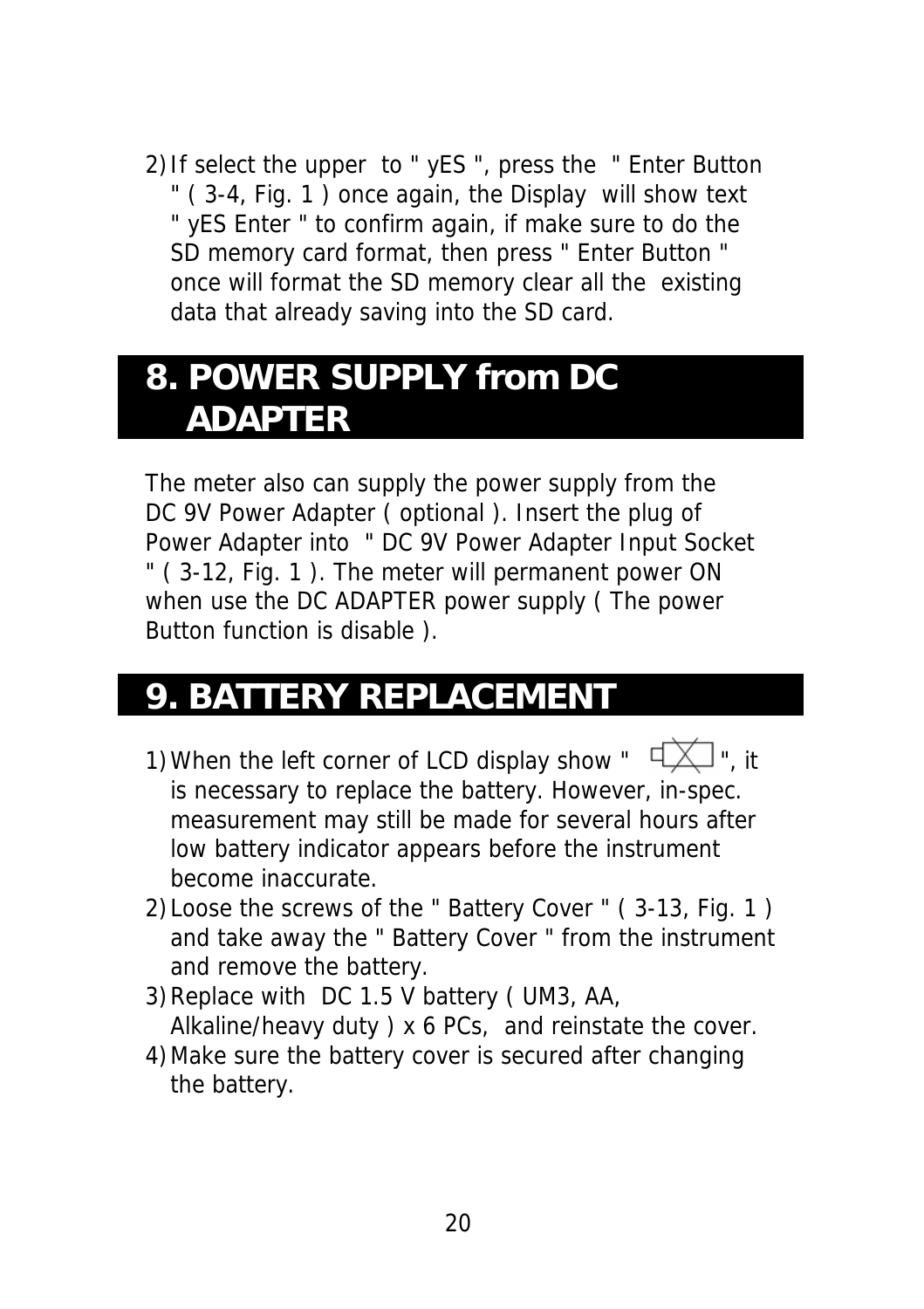2)If select the upper to " yES ", press the " Enter Button " ( 3-4, Fig. 1 ) once again, the Display will show text " yES Enter " to confirm again, if make sure to do the SD memory card format, then press " Enter Button " once will format the SD memory clear all the existing data that already saving into the SD card.

### **8. POWER SUPPLY from DC ADAPTER**

The meter also can supply the power supply from the DC 9V Power Adapter ( optional ). Insert the plug of Power Adapter into " DC 9V Power Adapter Input Socket " ( 3-12, Fig. 1 ). The meter will permanent power ON when use the DC ADAPTER power supply ( The power Button function is disable ).

### **9. BATTERY REPLACEMENT**

- 1) When the left corner of LCD display show "  $\sqrt{2}$ ", it is necessary to replace the battery. However, in-spec. measurement may still be made for several hours after low battery indicator appears before the instrument become inaccurate.
- 2)Loose the screws of the " Battery Cover " ( 3-13, Fig. 1 ) and take away the " Battery Cover " from the instrument and remove the battery.
- 3)Replace with DC 1.5 V battery ( UM3, AA, Alkaline/heavy duty ) x 6 PCs, and reinstate the cover.
- 4)Make sure the battery cover is secured after changing the battery.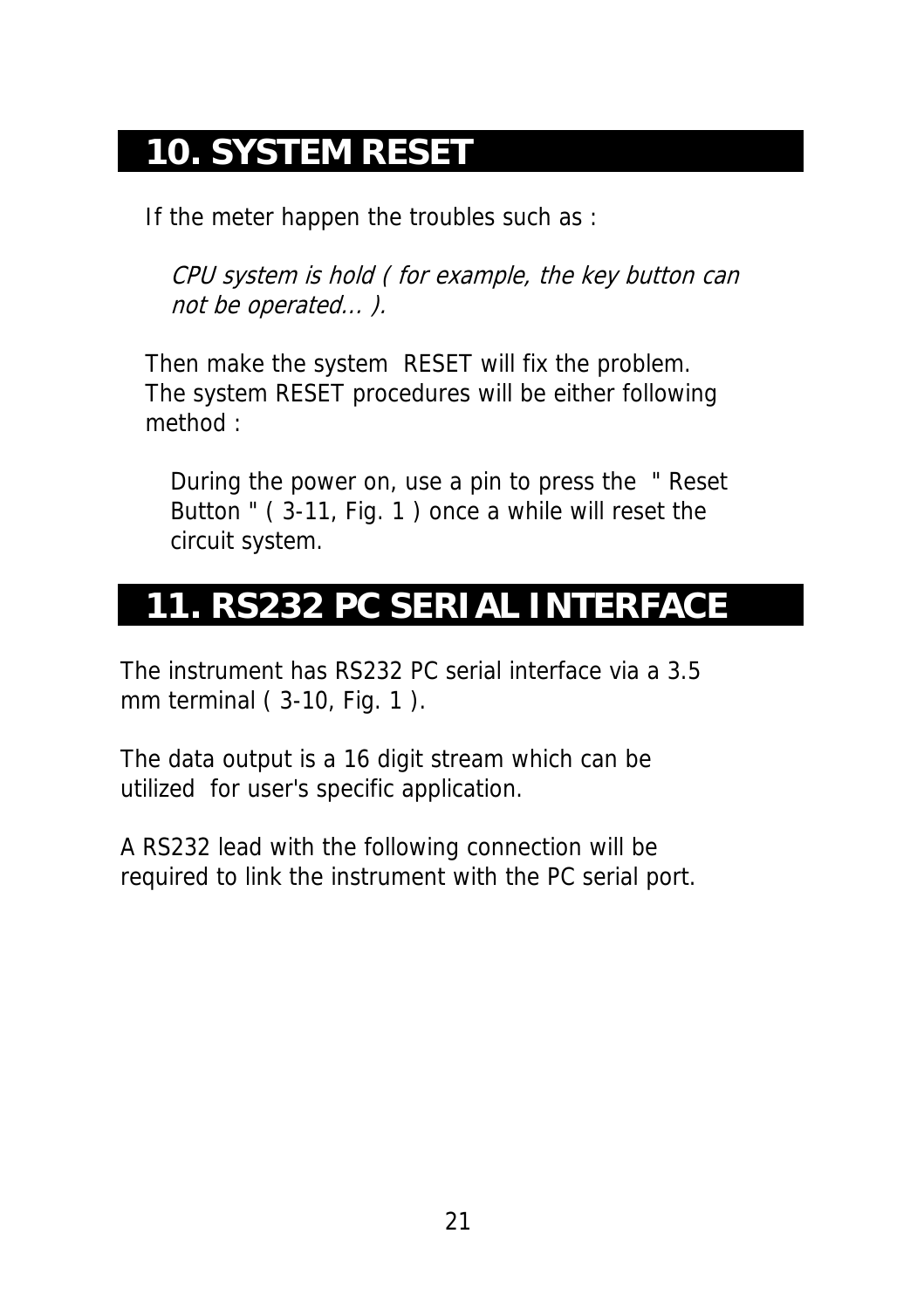### **10. SYSTEM RESET**

If the meter happen the troubles such as :

CPU system is hold ( for example, the key button can not be operated... ).

Then make the system RESET will fix the problem. The system RESET procedures will be either following method :

During the power on, use a pin to press the " Reset Button " ( 3-11, Fig. 1 ) once a while will reset the circuit system.

### **11. RS232 PC SERIAL INTERFACE**

The instrument has RS232 PC serial interface via a 3.5 mm terminal ( 3-10, Fig. 1 ).

The data output is a 16 digit stream which can be utilized for user's specific application.

A RS232 lead with the following connection will be required to link the instrument with the PC serial port.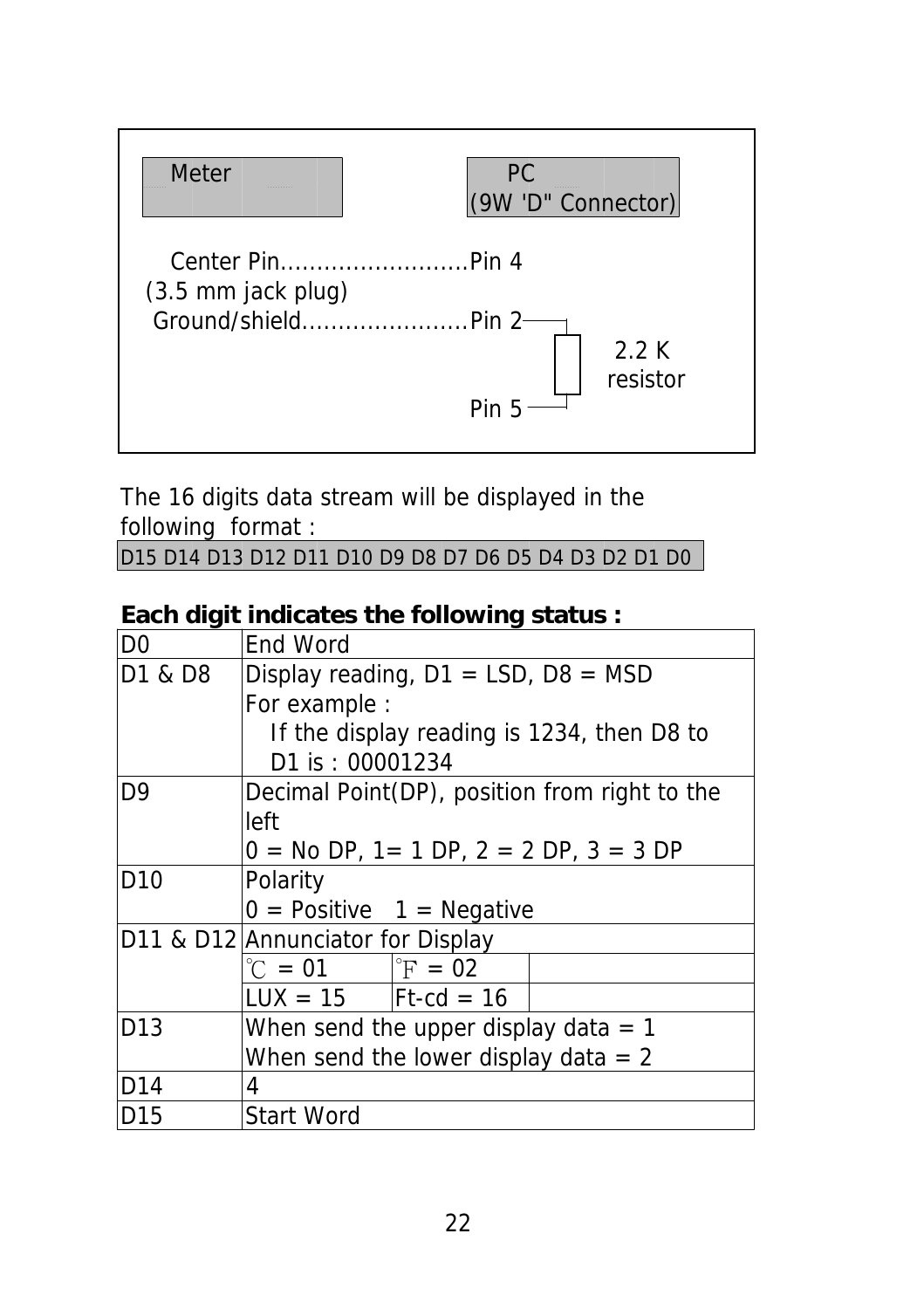

The 16 digits data stream will be displayed in the following format :

D15 D14 D13 D12 D11 D10 D9 D8 D7 D6 D5 D4 D3 D2 D1 D0

#### **Each digit indicates the following status :**

| D <sub>0</sub>  | End Word                                      |  |  |  |  |
|-----------------|-----------------------------------------------|--|--|--|--|
| D1 & D8         | Display reading, $D1 = LSD$ , $D8 = MSD$      |  |  |  |  |
|                 | For example :                                 |  |  |  |  |
|                 | If the display reading is 1234, then D8 to    |  |  |  |  |
|                 | D1 is: 00001234                               |  |  |  |  |
| D <sub>9</sub>  | Decimal Point(DP), position from right to the |  |  |  |  |
|                 | left                                          |  |  |  |  |
|                 | $0 = No DP$ , 1 = 1 DP, 2 = 2 DP, 3 = 3 DP    |  |  |  |  |
| D <sub>10</sub> | Polarity                                      |  |  |  |  |
|                 | $0 =$ Positive $1 =$ Negative                 |  |  |  |  |
|                 | D11 & D12 Annunciator for Display             |  |  |  |  |
|                 | ${}^{\circ}C = 01$   ${}^{\circ}F = 02$       |  |  |  |  |
|                 | $LUX = 15$   Ft-cd = 16                       |  |  |  |  |
| D <sub>13</sub> | When send the upper display data $= 1$        |  |  |  |  |
|                 | When send the lower display data $= 2$        |  |  |  |  |
| D14             | 4                                             |  |  |  |  |
| D <sub>15</sub> | <b>Start Word</b>                             |  |  |  |  |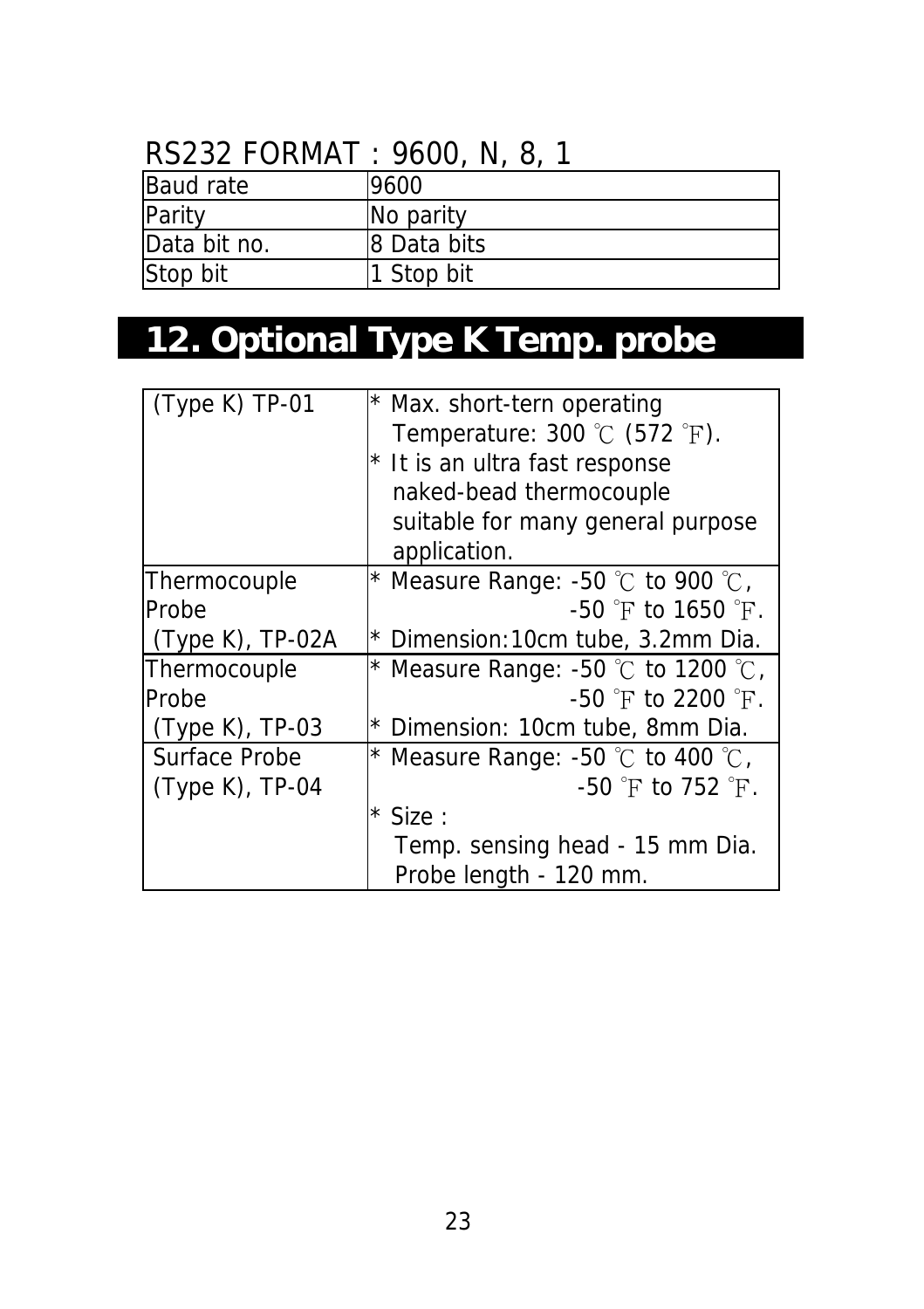### RS232 FORMAT : 9600, N, 8, 1

| <b>Baud rate</b> | 9600        |
|------------------|-------------|
| Parity           | No parity   |
| Data bit no.     | 8 Data bits |
| Stop bit         | Stop bit    |

# **12. Optional Type K Temp. probe**

| (Type K) TP-01      | * Max. short-tern operating<br>Temperature: $300\text{ °C}$ (572 $\text{ °F}$ ).<br>* It is an ultra fast response<br>naked-bead thermocouple<br>suitable for many general purpose |
|---------------------|------------------------------------------------------------------------------------------------------------------------------------------------------------------------------------|
|                     | application.                                                                                                                                                                       |
| Thermocouple        | * Measure Range: -50 $\degree$ C to 900 $\degree$ C,                                                                                                                               |
| Probe               | $-50$ °F to 1650 °F.                                                                                                                                                               |
| $(Type K)$ , TP-02A | * Dimension:10cm tube, 3.2mm Dia.                                                                                                                                                  |
| Thermocouple        | * Measure Range: -50 $\degree$ C to 1200 $\degree$ C,                                                                                                                              |
| <b>Probe</b>        | $-50$ $\degree$ F to 2200 $\degree$ F.                                                                                                                                             |
| $(Type K)$ , TP-03  | * Dimension: 10cm tube, 8mm Dia.                                                                                                                                                   |
| Surface Probe       | * Measure Range: -50 $\degree$ C to 400 $\degree$ C,                                                                                                                               |
| (Type K), TP-04     | $-50$ $\degree$ F to 752 $\degree$ F.                                                                                                                                              |
|                     | $*$ Size :                                                                                                                                                                         |
|                     | Temp. sensing head - 15 mm Dia.                                                                                                                                                    |
|                     | Probe length - 120 mm.                                                                                                                                                             |